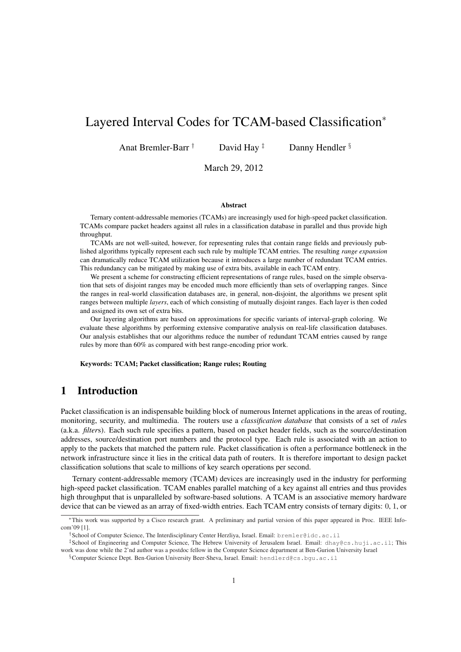# Layered Interval Codes for TCAM-based Classification<sup>∗</sup>

Anat Bremler-Barr  $\dagger$  David Hay  $\ddagger$  Danny Hendler  $\S$ 

March 29, 2012

### Abstract

Ternary content-addressable memories (TCAMs) are increasingly used for high-speed packet classification. TCAMs compare packet headers against all rules in a classification database in parallel and thus provide high throughput.

TCAMs are not well-suited, however, for representing rules that contain range fields and previously published algorithms typically represent each such rule by multiple TCAM entries. The resulting *range expansion* can dramatically reduce TCAM utilization because it introduces a large number of redundant TCAM entries. This redundancy can be mitigated by making use of extra bits, available in each TCAM entry.

We present a scheme for constructing efficient representations of range rules, based on the simple observation that sets of disjoint ranges may be encoded much more efficiently than sets of overlapping ranges. Since the ranges in real-world classification databases are, in general, non-disjoint, the algorithms we present split ranges between multiple *layers*, each of which consisting of mutually disjoint ranges. Each layer is then coded and assigned its own set of extra bits.

Our layering algorithms are based on approximations for specific variants of interval-graph coloring. We evaluate these algorithms by performing extensive comparative analysis on real-life classification databases. Our analysis establishes that our algorithms reduce the number of redundant TCAM entries caused by range rules by more than 60% as compared with best range-encoding prior work.

Keywords: TCAM; Packet classification; Range rules; Routing

# 1 Introduction

Packet classification is an indispensable building block of numerous Internet applications in the areas of routing, monitoring, security, and multimedia. The routers use a *classification database* that consists of a set of *rule*s (a.k.a. *filter*s). Each such rule specifies a pattern, based on packet header fields, such as the source/destination addresses, source/destination port numbers and the protocol type. Each rule is associated with an action to apply to the packets that matched the pattern rule. Packet classification is often a performance bottleneck in the network infrastructure since it lies in the critical data path of routers. It is therefore important to design packet classification solutions that scale to millions of key search operations per second.

Ternary content-addressable memory (TCAM) devices are increasingly used in the industry for performing high-speed packet classification. TCAM enables parallel matching of a key against all entries and thus provides high throughput that is unparalleled by software-based solutions. A TCAM is an associative memory hardware device that can be viewed as an array of fixed-width entries. Each TCAM entry consists of ternary digits: 0, 1, or

§Computer Science Dept. Ben-Gurion University Beer-Sheva, Israel. Email: hendlerd@cs.bgu.ac.il

<sup>∗</sup>This work was supported by a Cisco research grant. A preliminary and partial version of this paper appeared in Proc. IEEE Infocom'09 [1].

 $^\dagger$ School of Computer Science, The Interdisciplinary Center Herzliya, Israel. Email: <code>bremler@idc.ac.il</code>

<sup>‡</sup>School of Engineering and Computer Science, The Hebrew University of Jerusalem Israel. Email: dhay@cs.huji.ac.il; This work was done while the 2'nd author was a postdoc fellow in the Computer Science department at Ben-Gurion University Israel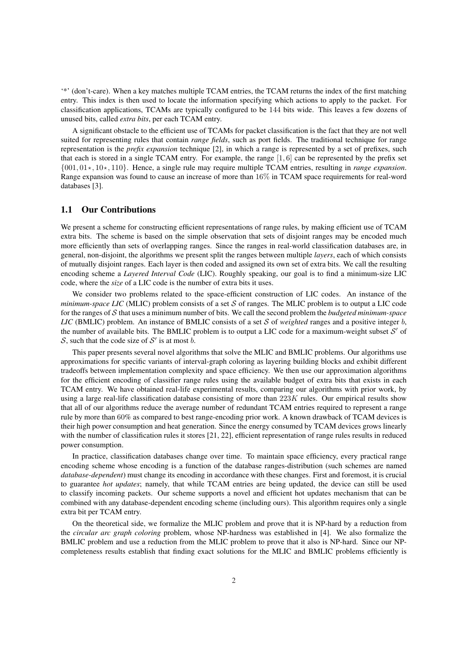'\*' (don't-care). When a key matches multiple TCAM entries, the TCAM returns the index of the first matching entry. This index is then used to locate the information specifying which actions to apply to the packet. For classification applications, TCAMs are typically configured to be 144 bits wide. This leaves a few dozens of unused bits, called *extra bits*, per each TCAM entry.

A significant obstacle to the efficient use of TCAMs for packet classification is the fact that they are not well suited for representing rules that contain *range fields*, such as port fields. The traditional technique for range representation is the *prefix expansion* technique [2], in which a range is represented by a set of prefixes, such that each is stored in a single TCAM entry. For example, the range [1, 6] can be represented by the prefix set {001, 01\*, 10\*, 110}. Hence, a single rule may require multiple TCAM entries, resulting in *range expansion*. Range expansion was found to cause an increase of more than 16% in TCAM space requirements for real-word databases [3].

### 1.1 Our Contributions

We present a scheme for constructing efficient representations of range rules, by making efficient use of TCAM extra bits. The scheme is based on the simple observation that sets of disjoint ranges may be encoded much more efficiently than sets of overlapping ranges. Since the ranges in real-world classification databases are, in general, non-disjoint, the algorithms we present split the ranges between multiple *layers*, each of which consists of mutually disjoint ranges. Each layer is then coded and assigned its own set of extra bits. We call the resulting encoding scheme a *Layered Interval Code* (LIC). Roughly speaking, our goal is to find a minimum-size LIC code, where the *size* of a LIC code is the number of extra bits it uses.

We consider two problems related to the space-efficient construction of LIC codes. An instance of the *minimum-space LIC* (MLIC) problem consists of a set  $S$  of ranges. The MLIC problem is to output a LIC code for the ranges of S that uses a minimum number of bits. We call the second problem the *budgeted minimum-space LIC* (BMLIC) problem. An instance of BMLIC consists of a set S of *weighted* ranges and a positive integer  $b$ , the number of available bits. The BMLIC problem is to output a LIC code for a maximum-weight subset  $S'$  of S, such that the code size of  $S'$  is at most b.

This paper presents several novel algorithms that solve the MLIC and BMLIC problems. Our algorithms use approximations for specific variants of interval-graph coloring as layering building blocks and exhibit different tradeoffs between implementation complexity and space efficiency. We then use our approximation algorithms for the efficient encoding of classifier range rules using the available budget of extra bits that exists in each TCAM entry. We have obtained real-life experimental results, comparing our algorithms with prior work, by using a large real-life classification database consisting of more than 223K rules. Our empirical results show that all of our algorithms reduce the average number of redundant TCAM entries required to represent a range rule by more than 60% as compared to best range-encoding prior work. A known drawback of TCAM devices is their high power consumption and heat generation. Since the energy consumed by TCAM devices grows linearly with the number of classification rules it stores [21, 22], efficient representation of range rules results in reduced power consumption.

In practice, classification databases change over time. To maintain space efficiency, every practical range encoding scheme whose encoding is a function of the database ranges-distribution (such schemes are named *database-dependent*) must change its encoding in accordance with these changes. First and foremost, it is crucial to guarantee *hot updates*; namely, that while TCAM entries are being updated, the device can still be used to classify incoming packets. Our scheme supports a novel and efficient hot updates mechanism that can be combined with any database-dependent encoding scheme (including ours). This algorithm requires only a single extra bit per TCAM entry.

On the theoretical side, we formalize the MLIC problem and prove that it is NP-hard by a reduction from the *circular arc graph coloring* problem, whose NP-hardness was established in [4]. We also formalize the BMLIC problem and use a reduction from the MLIC problem to prove that it also is NP-hard. Since our NPcompleteness results establish that finding exact solutions for the MLIC and BMLIC problems efficiently is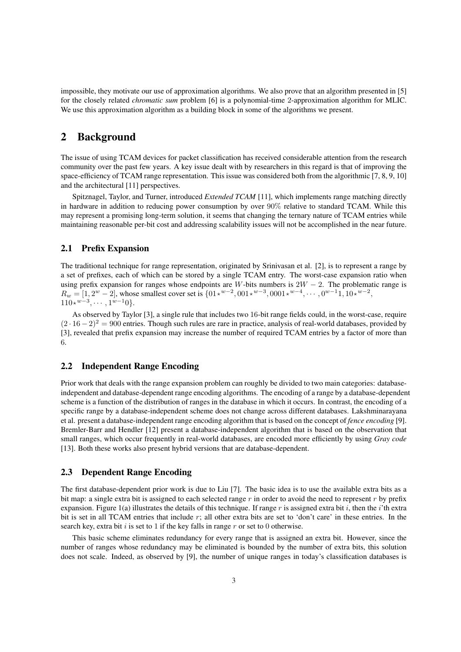impossible, they motivate our use of approximation algorithms. We also prove that an algorithm presented in [5] for the closely related *chromatic sum* problem [6] is a polynomial-time 2-approximation algorithm for MLIC. We use this approximation algorithm as a building block in some of the algorithms we present.

# 2 Background

The issue of using TCAM devices for packet classification has received considerable attention from the research community over the past few years. A key issue dealt with by researchers in this regard is that of improving the space-efficiency of TCAM range representation. This issue was considered both from the algorithmic [7, 8, 9, 10] and the architectural [11] perspectives.

Spitznagel, Taylor, and Turner, introduced *Extended TCAM* [11], which implements range matching directly in hardware in addition to reducing power consumption by over 90% relative to standard TCAM. While this may represent a promising long-term solution, it seems that changing the ternary nature of TCAM entries while maintaining reasonable per-bit cost and addressing scalability issues will not be accomplished in the near future.

### 2.1 Prefix Expansion

The traditional technique for range representation, originated by Srinivasan et al. [2], is to represent a range by a set of prefixes, each of which can be stored by a single TCAM entry. The worst-case expansion ratio when using prefix expansion for ranges whose endpoints are W-bits numbers is  $2W - 2$ . The problematic range is  $R_w = [1, 2^w - 2]$ , whose smallest cover set is  $\{01*^{w-2}, 001*^{w-3}, 0001*^{w-4}, \dots, 0^{w-1}1, 10*^{w-2}, \dots\}$  $110 \star^{w-3}, \cdots, 1^{w-1}0 \}.$ 

As observed by Taylor [3], a single rule that includes two 16-bit range fields could, in the worst-case, require  $(2 \cdot 16 - 2)^2 = 900$  entries. Though such rules are rare in practice, analysis of real-world databases, provided by [3], revealed that prefix expansion may increase the number of required TCAM entries by a factor of more than 6.

### 2.2 Independent Range Encoding

Prior work that deals with the range expansion problem can roughly be divided to two main categories: databaseindependent and database-dependent range encoding algorithms. The encoding of a range by a database-dependent scheme is a function of the distribution of ranges in the database in which it occurs. In contrast, the encoding of a specific range by a database-independent scheme does not change across different databases. Lakshminarayana et al. present a database-independent range encoding algorithm that is based on the concept of *fence encoding* [9]. Bremler-Barr and Hendler [12] present a database-independent algorithm that is based on the observation that small ranges, which occur frequently in real-world databases, are encoded more efficiently by using *Gray code* [13]. Both these works also present hybrid versions that are database-dependent.

### 2.3 Dependent Range Encoding

The first database-dependent prior work is due to Liu [7]. The basic idea is to use the available extra bits as a bit map: a single extra bit is assigned to each selected range  $r$  in order to avoid the need to represent  $r$  by prefix expansion. Figure 1(a) illustrates the details of this technique. If range r is assigned extra bit i, then the i'th extra bit is set in all TCAM entries that include  $r$ ; all other extra bits are set to 'don't care' in these entries. In the search key, extra bit  $i$  is set to 1 if the key falls in range  $r$  or set to 0 otherwise.

This basic scheme eliminates redundancy for every range that is assigned an extra bit. However, since the number of ranges whose redundancy may be eliminated is bounded by the number of extra bits, this solution does not scale. Indeed, as observed by [9], the number of unique ranges in today's classification databases is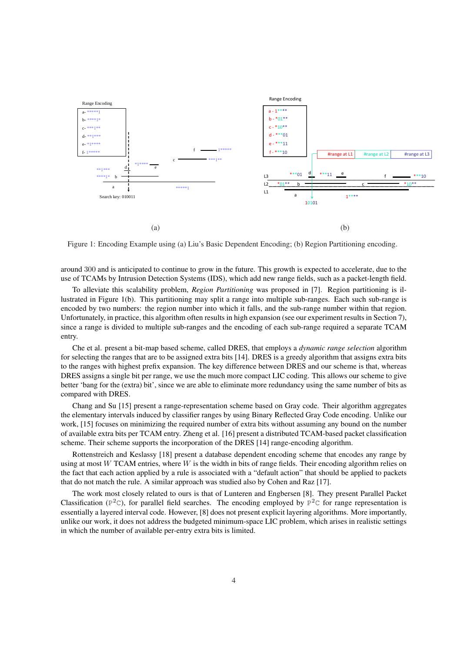

Figure 1: Encoding Example using (a) Liu's Basic Dependent Encoding; (b) Region Partitioning encoding.

around 300 and is anticipated to continue to grow in the future. This growth is expected to accelerate, due to the use of TCAMs by Intrusion Detection Systems (IDS), which add new range fields, such as a packet-length field.

To alleviate this scalability problem, *Region Partitioning* was proposed in [7]. Region partitioning is illustrated in Figure 1(b). This partitioning may split a range into multiple sub-ranges. Each such sub-range is encoded by two numbers: the region number into which it falls, and the sub-range number within that region. Unfortunately, in practice, this algorithm often results in high expansion (see our experiment results in Section 7), since a range is divided to multiple sub-ranges and the encoding of each sub-range required a separate TCAM entry.

Che et al. present a bit-map based scheme, called DRES, that employs a *dynamic range selection* algorithm for selecting the ranges that are to be assigned extra bits [14]. DRES is a greedy algorithm that assigns extra bits to the ranges with highest prefix expansion. The key difference between DRES and our scheme is that, whereas DRES assigns a single bit per range, we use the much more compact LIC coding. This allows our scheme to give better 'bang for the (extra) bit', since we are able to eliminate more redundancy using the same number of bits as compared with DRES.

Chang and Su [15] present a range-representation scheme based on Gray code. Their algorithm aggregates the elementary intervals induced by classifier ranges by using Binary Reflected Gray Code encoding. Unlike our work, [15] focuses on minimizing the required number of extra bits without assuming any bound on the number of available extra bits per TCAM entry. Zheng et al. [16] present a distributed TCAM-based packet classification scheme. Their scheme supports the incorporation of the DRES [14] range-encoding algorithm.

Rottenstreich and Keslassy [18] present a database dependent encoding scheme that encodes any range by using at most  $W$  TCAM entries, where  $W$  is the width in bits of range fields. Their encoding algorithm relies on the fact that each action applied by a rule is associated with a "default action" that should be applied to packets that do not match the rule. A similar approach was studied also by Cohen and Raz [17].

The work most closely related to ours is that of Lunteren and Engbersen [8]. They present Parallel Packet Classification ( $P^2C$ ), for parallel field searches. The encoding employed by  $P^2C$  for range representation is essentially a layered interval code. However, [8] does not present explicit layering algorithms. More importantly, unlike our work, it does not address the budgeted minimum-space LIC problem, which arises in realistic settings in which the number of available per-entry extra bits is limited.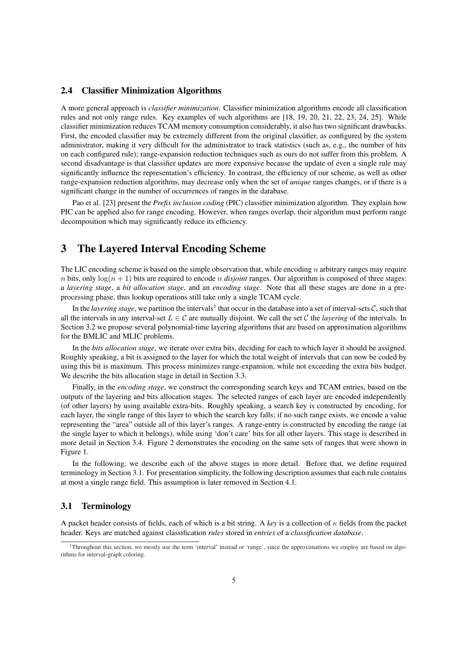### 2.4 Classifier Minimization Algorithms

A more general approach is *classifier minimization*. Classifier minimization algorithms encode all classification rules and not only range rules. Key examples of such algorithms are [18, 19, 20, 21, 22, 23, 24, 25]. While classifier minimization reduces TCAM memory consumption considerably, it also has two significant drawbacks. First, the encoded classifier may be extremely different from the original classifier, as configured by the system administrator, making it very difficult for the administrator to track statistics (such as, e.g., the number of hits on each configured rule); range-expansion reduction techniques such as ours do not suffer from this problem. A second disadvantage is that classifier updates are more expensive because the update of even a single rule may significantly influence the representation's efficiency. In contrast, the efficiency of our scheme, as well as other range-expansion reduction algorithms, may decrease only when the set of *unique* ranges changes, or if there is a significant change in the number of occurrences of ranges in the database.

Pao et al. [23] present the *Prefix inclusion coding* (PIC) classifier minimization algorithm. They explain how PIC can be applied also for range encoding. However, when ranges overlap, their algorithm must perform range decomposition which may significantly reduce its efficiency.

# 3 The Layered Interval Encoding Scheme

The LIC encoding scheme is based on the simple observation that, while encoding n arbitrary ranges may require n bits, only  $\log(n + 1)$  bits are required to encode n *disjoint* ranges. Our algorithm is composed of three stages: a *layering stage*, a *bit allocation stage*, and an *encoding stage*. Note that all these stages are done in a preprocessing phase, thus lookup operations still take only a single TCAM cycle.

In the *layering stage*, we partition the intervals<sup>1</sup> that occur in the database into a set of interval-sets  $C$ , such that all the intervals in any interval-set  $L \in \mathcal{C}$  are mutually disjoint. We call the set  $\mathcal{C}$  the *layering* of the intervals. In Section 3.2 we propose several polynomial-time layering algorithms that are based on approximation algorithms for the BMLIC and MLIC problems.

In the *bits allocation stage*, we iterate over extra bits, deciding for each to which layer it should be assigned. Roughly speaking, a bit is assigned to the layer for which the total weight of intervals that can now be coded by using this bit is maximum. This process minimizes range-expansion, while not exceeding the extra bits budget. We describe the bits allocation stage in detail in Section 3.3.

Finally, in the *encoding stage*, we construct the corresponding search keys and TCAM entries, based on the outputs of the layering and bits allocation stages. The selected ranges of each layer are encoded independently (of other layers) by using available extra-bits. Roughly speaking, a search key is constructed by encoding, for each layer, the single range of this layer to which the search key falls; if no such range exists, we encode a value representing the "area" outside all of this layer's ranges. A range-entry is constructed by encoding the range (at the single layer to which it belongs), while using 'don't care' bits for all other layers. This stage is described in more detail in Section 3.4. Figure 2 demonstrates the encoding on the same sets of ranges that were shown in Figure 1.

In the following, we describe each of the above stages in more detail. Before that, we define required terminology in Section 3.1. For presentation simplicity, the following description assumes that each rule contains at most a single range field. This assumption is later removed in Section 4.1.

### 3.1 Terminology

A packet header consists of fields, each of which is a bit string. A *key* is a collection of κ fields from the packet header. Keys are matched against classification *rules* stored in *entries* of a *classification database*.

<sup>1</sup>Throughout this section, we mostly use the term 'interval' instead or 'range', since the approximations we employ are based on algorithms for interval-graph coloring.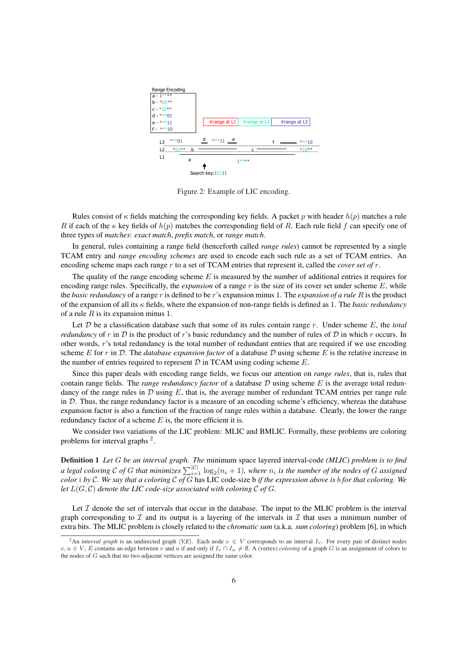

Figure 2: Example of LIC encoding.

Rules consist of  $\kappa$  fields matching the corresponding key fields. A packet p with header  $h(p)$  matches a rule R if each of the  $\kappa$  key fields of  $h(p)$  matches the corresponding field of R. Each rule field f can specify one of three types of *matches*: *exact match*, *prefix match*, or *range match*.

In general, rules containing a range field (henceforth called *range rules*) cannot be represented by a single TCAM entry and *range encoding schemes* are used to encode each such rule as a set of TCAM entries. An encoding scheme maps each range r to a set of TCAM entries that represent it, called the *cover set of* r.

The quality of the range encoding scheme  $E$  is measured by the number of additional entries it requires for encoding range rules. Specifically, the *expansion* of a range r is the size of its cover set under scheme E, while the *basic redundancy* of a range r is defined to be r's expansion minus 1. The *expansion of a rule* R is the product of the expansion of all its κ fields, where the expansion of non-range fields is defined as 1. The *basic redundancy* of a rule  $R$  is its expansion minus 1.

Let  $D$  be a classification database such that some of its rules contain range  $r$ . Under scheme  $E$ , the *total redundancy* of r in  $D$  is the product of r's basic redundancy and the number of rules of  $D$  in which r occurs. In other words, r's total redundancy is the total number of redundant entries that are required if we use encoding scheme E for r in D. The *database expansion factor* of a database D using scheme E is the relative increase in the number of entries required to represent  $D$  in TCAM using coding scheme  $E$ .

Since this paper deals with encoding range fields, we focus our attention on *range rules*, that is, rules that contain range fields. The *range redundancy factor* of a database D using scheme E is the average total redundancy of the range rules in  $D$  using  $E$ , that is, the average number of redundant TCAM entries per range rule in  $D$ . Thus, the range redundancy factor is a measure of an encoding scheme's efficiency, whereas the database expansion factor is also a function of the fraction of range rules within a database. Clearly, the lower the range redundancy factor of a scheme  $E$  is, the more efficient it is.

We consider two variations of the LIC problem: MLIC and BMLIC. Formally, these problems are coloring problems for interval graphs  $2$ .

Definition 1 *Let* G *be an interval graph. The* minimum space layered interval-code *(MLIC) problem is to find a legal coloring* C of G *that minimizes*  $\sum_{i=1}^{|C|} \log_2(n_i + 1)$ *, where*  $n_i$  *is the number of the nodes of G assigned color* i *by* C*. We say that a coloring* C *of* G has LIC code-size b *if the expression above is* b *for that coloring. We let*  $L(G, \mathcal{C})$  *denote the LIC code-size associated with coloring*  $\mathcal{C}$  *of*  $G$ *.* 

Let  $\mathcal I$  denote the set of intervals that occur in the database. The input to the MLIC problem is the interval graph corresponding to  $\mathcal I$  and its output is a layering of the intervals in  $\mathcal I$  that uses a minimum number of extra bits. The MLIC problem is closely related to the *chromatic sum* (a.k.a. *sum coloring*) problem [6], in which

<sup>&</sup>lt;sup>2</sup>An *interval graph* is an undirected graph  $\langle VE \rangle$ . Each node  $v \in V$  corresponds to an interval  $I_v$ . For every pair of distinct nodes  $v, u \in V$ , E contains an edge between v and u if and only if  $I_v \cap I_u \neq \emptyset$ . A (vertex) *coloring* of a graph G is an assignment of colors to the nodes of G such that no two adjacent vertices are assigned the same color.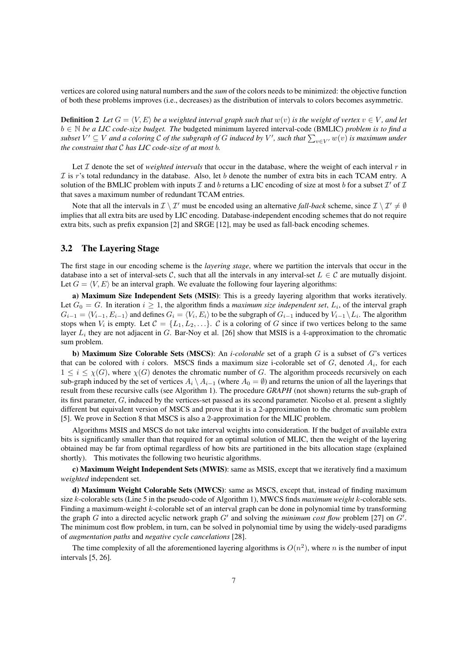vertices are colored using natural numbers and the *sum* of the colors needs to be minimized: the objective function of both these problems improves (i.e., decreases) as the distribution of intervals to colors becomes asymmetric.

**Definition 2** Let  $G = \langle V, E \rangle$  be a weighted interval graph such that  $w(v)$  is the weight of vertex  $v \in V$ , and let b ∈ N *be a LIC code-size budget. The* budgeted minimum layered interval-code (BMLIC) *problem is to find a*  $\omega \in \mathbb{N}$  *be a LIC code-size budget. The budgeted minimum layered interval-code (BMLIC) problem is to jind a subset*  $V' \subseteq V$  *and a coloring C of the subgraph of G induced by*  $V'$ *, such that*  $\sum_{v \in V'} w(v)$  *is m the constraint that* C *has LIC code-size of at most* b*.*

Let  $\mathcal I$  denote the set of *weighted intervals* that occur in the database, where the weight of each interval  $r$  in  $\mathcal I$  is r's total redundancy in the database. Also, let b denote the number of extra bits in each TCAM entry. A solution of the BMLIC problem with inputs  $\mathcal I$  and b returns a LIC encoding of size at most b for a subset  $\mathcal I'$  of  $\mathcal I$ that saves a maximum number of redundant TCAM entries.

Note that all the intervals in  $\mathcal{I} \setminus \mathcal{I}'$  must be encoded using an alternative *fall-back* scheme, since  $\mathcal{I} \setminus \mathcal{I}' \neq \emptyset$ implies that all extra bits are used by LIC encoding. Database-independent encoding schemes that do not require extra bits, such as prefix expansion [2] and SRGE [12], may be used as fall-back encoding schemes.

### 3.2 The Layering Stage

The first stage in our encoding scheme is the *layering stage*, where we partition the intervals that occur in the database into a set of interval-sets C, such that all the intervals in any interval-set  $L \in \mathcal{C}$  are mutually disjoint. Let  $G = \langle V, E \rangle$  be an interval graph. We evaluate the following four layering algorithms:

a) Maximum Size Independent Sets (MSIS): This is a greedy layering algorithm that works iteratively. Let  $G_0 = G$ . In iteration  $i \geq 1$ , the algorithm finds a *maximum size independent set*,  $L_i$ , of the interval graph  $G_{i-1} = \langle V_{i-1}, E_{i-1} \rangle$  and defines  $G_i = \langle V_i, E_i \rangle$  to be the subgraph of  $G_{i-1}$  induced by  $V_{i-1} \setminus L_i$ . The algorithm stops when  $V_i$  is empty. Let  $C = \{L_1, L_2, \ldots\}$ . C is a coloring of G since if two vertices belong to the same layer  $L_i$  they are not adjacent in G. Bar-Noy et al. [26] show that MSIS is a 4-approximation to the chromatic sum problem.

b) Maximum Size Colorable Sets (MSCS): An *i-colorable* set of a graph G is a subset of G's vertices that can be colored with i colors. MSCS finds a maximum size i-colorable set of  $G$ , denoted  $A_i$ , for each  $1 \leq i \leq \chi(G)$ , where  $\chi(G)$  denotes the chromatic number of G. The algorithm proceeds recursively on each sub-graph induced by the set of vertices  $A_i \ A_{i-1}$  (where  $A_0 = \emptyset$ ) and returns the union of all the layerings that result from these recursive calls (see Algorithm 1). The procedure *GRAPH* (not shown) returns the sub-graph of its first parameter,  $G$ , induced by the vertices-set passed as its second parameter. Nicolso et al. present a slightly different but equivalent version of MSCS and prove that it is a 2-approximation to the chromatic sum problem [5]. We prove in Section 8 that MSCS is also a 2-approximation for the MLIC problem.

Algorithms MSIS and MSCS do not take interval weights into consideration. If the budget of available extra bits is significantly smaller than that required for an optimal solution of MLIC, then the weight of the layering obtained may be far from optimal regardless of how bits are partitioned in the bits allocation stage (explained shortly). This motivates the following two heuristic algorithms.

c) Maximum Weight Independent Sets (MWIS): same as MSIS, except that we iteratively find a maximum *weighted* independent set.

d) Maximum Weight Colorable Sets (MWCS): same as MSCS, except that, instead of finding maximum size k-colorable sets (Line 5 in the pseudo-code of Algorithm 1), MWCS finds *maximum weight* k-colorable sets. Finding a maximum-weight k-colorable set of an interval graph can be done in polynomial time by transforming the graph G into a directed acyclic network graph  $G'$  and solving the *minimum cost flow* problem [27] on  $G'$ . The minimum cost flow problem, in turn, can be solved in polynomial time by using the widely-used paradigms of *augmentation paths* and *negative cycle cancelations* [28].

The time complexity of all the aforementioned layering algorithms is  $O(n^2)$ , where n is the number of input intervals [5, 26].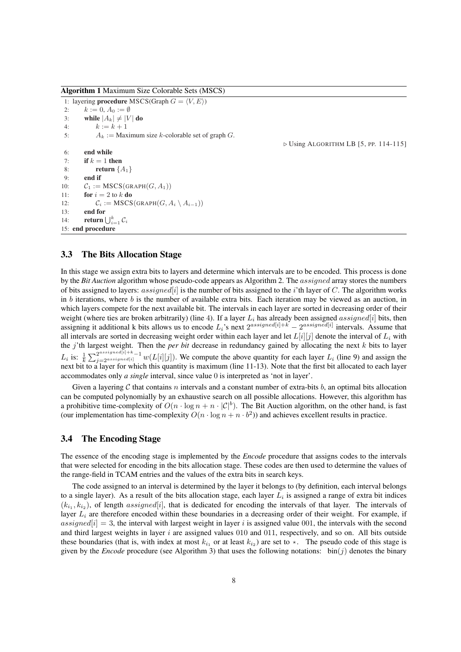Algorithm 1 Maximum Size Colorable Sets (MSCS)

1: layering **procedure** MSCS(Graph  $G = \langle V, E \rangle$ ) 2:  $k := 0, A_0 := \emptyset$ 3: while  $|A_k| \neq |V|$  do 4:  $k := k + 1$ 5:  $A_k :=$  Maximum size k-colorable set of graph G. 6: end while 7: if  $k = 1$  then 8: return  $\{A_1\}$ 9: end if 10:  $C_1 := \text{MSCS}(\text{GRAPH}(G, A_1))$ 11: **for**  $i = 2$  to  $k$  **do** 12:  $C_i := \text{MSCS}(\text{GRAPH}(G, A_i \setminus A_{i-1}))$ 13: end for 14: **return**  $\bigcup_{i=1}^{k} C_i$ 15: end procedure

 $\triangleright$  Using ALGORITHM LB [5, PP. 114-115]

### 3.3 The Bits Allocation Stage

In this stage we assign extra bits to layers and determine which intervals are to be encoded. This process is done by the *Bit Auction* algorithm whose pseudo-code appears as Algorithm 2. The assigned array stores the numbers of bits assigned to layers: assigned $[i]$  is the number of bits assigned to the i'th layer of C. The algorithm works in  $b$  iterations, where  $b$  is the number of available extra bits. Each iteration may be viewed as an auction, in which layers compete for the next available bit. The intervals in each layer are sorted in decreasing order of their weight (where ties are broken arbitrarily) (line 4). If a layer  $L_i$  has already been assigned assigned[i] bits, then assigning it additional k bits allows us to encode  $L_i$ 's next  $2^{assigned[i]+k} - 2^{assigned[i]}$  intervals. Assume that all intervals are sorted in decreasing weight order within each layer and let  $L[i][j]$  denote the interval of  $L_i$  with the j'th largest weight. Then the *per bit* decrease in redundancy gained by allocating the next k bits to layer  $L_i$  is:  $\frac{1}{k}$  $\sum_{j=2^{assigned[i]+k-1}}^{2^{assigned[i]+k-1}} w(L[i][j])$ . We compute the above quantity for each layer  $L_i$  (line 9) and assign the next bit to a layer for which this quantity is maximum (line 11-13). Note that the first bit allocated to each layer accommodates only *a single* interval, since value 0 is interpreted as 'not in layer'.

Given a layering C that contains n intervals and a constant number of extra-bits b, an optimal bits allocation can be computed polynomially by an exhaustive search on all possible allocations. However, this algorithm has a prohibitive time-complexity of  $O(n \cdot \log n + n \cdot |\mathcal{C}|^b)$ . The Bit Auction algorithm, on the other hand, is fast (our implementation has time-complexity  $O(n \cdot \log n + n \cdot b^2)$ ) and achieves excellent results in practice.

### 3.4 The Encoding Stage

The essence of the encoding stage is implemented by the *Encode* procedure that assigns codes to the intervals that were selected for encoding in the bits allocation stage. These codes are then used to determine the values of the range-field in TCAM entries and the values of the extra bits in search keys.

The code assigned to an interval is determined by the layer it belongs to (by definition, each interval belongs to a single layer). As a result of the bits allocation stage, each layer  $L_i$  is assigned a range of extra bit indices  $(k_{i_1}, k_{i_2})$ , of length assigned[i], that is dedicated for encoding the intervals of that layer. The intervals of layer  $L_i$  are therefore encoded within these boundaries in a decreasing order of their weight. For example, if assigned[i] = 3, the interval with largest weight in layer i is assigned value 001, the intervals with the second and third largest weights in layer  $i$  are assigned values 010 and 011, respectively, and so on. All bits outside these boundaries (that is, with index at most  $k_{i_1}$  or at least  $k_{i_2}$ ) are set to  $\star$ . The pseudo code of this stage is given by the *Encode* procedure (see Algorithm 3) that uses the following notations:  $\text{bin}(j)$  denotes the binary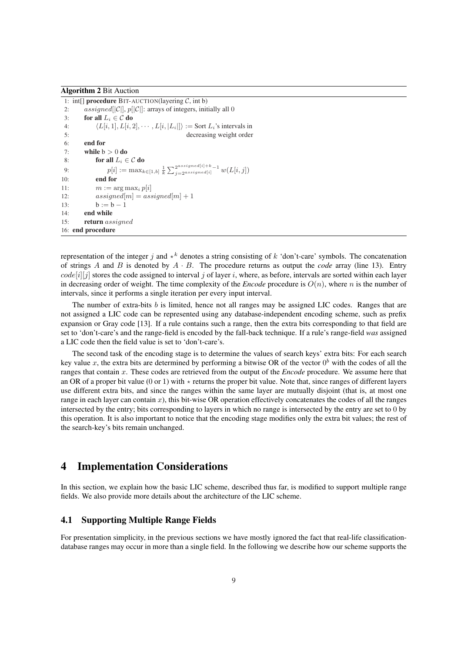#### Algorithm 2 Bit Auction

```
1: int[] procedure BIT-AUCTION(layering C, int b)
2: assigned[|C|], p[|C|]: arrays of integers, initially all 0
3: for all L_i \in \mathcal{C} do
4: \langle L[i, 1], L[i, 2], \cdots, L[i, |L_i|] \rangle := \text{Sort } L_i \text{'s intervals in}5: decreasing weight order
6: end for
7: while b > 0 do
8: for all L_i \in \mathcal{C} do
 9: but all D_i \subset \mathbf{d} c \mathbf{d} c \mathbf{d} c \mathbf{d} c \mathbf{d} c \mathbf{d} c \mathbf{d} c \mathbf{d} c \mathbf{d} c \mathbf{d} c \mathbf{d} c \mathbf{d} c \mathbf{d} c \mathbf{d} c \mathbf{d} c \mathbf{d} 
10: end for
11: m := \arg \max_i p[i]12: assigned[m] = assigned[m] + 113: b := b - 114: end while
15: return assigned
16: end procedure
```
representation of the integer j and  $\star^k$  denotes a string consisting of k 'don't-care' symbols. The concatenation of strings A and B is denoted by  $A \cdot B$ . The procedure returns as output the *code* array (line 13). Entry  $code[i][j]$  stores the code assigned to interval j of layer i, where, as before, intervals are sorted within each layer in decreasing order of weight. The time complexity of the *Encode* procedure is  $O(n)$ , where n is the number of intervals, since it performs a single iteration per every input interval.

The number of extra-bits  $b$  is limited, hence not all ranges may be assigned LIC codes. Ranges that are not assigned a LIC code can be represented using any database-independent encoding scheme, such as prefix expansion or Gray code [13]. If a rule contains such a range, then the extra bits corresponding to that field are set to 'don't-care's and the range-field is encoded by the fall-back technique. If a rule's range-field *was* assigned a LIC code then the field value is set to 'don't-care's.

The second task of the encoding stage is to determine the values of search keys' extra bits: For each search key value x, the extra bits are determined by performing a bitwise OR of the vector  $0^b$  with the codes of all the ranges that contain x. These codes are retrieved from the output of the *Encode* procedure. We assume here that an OR of a proper bit value (0 or 1) with  $\star$  returns the proper bit value. Note that, since ranges of different layers use different extra bits, and since the ranges within the same layer are mutually disjoint (that is, at most one range in each layer can contain  $x$ ), this bit-wise OR operation effectively concatenates the codes of all the ranges intersected by the entry; bits corresponding to layers in which no range is intersected by the entry are set to 0 by this operation. It is also important to notice that the encoding stage modifies only the extra bit values; the rest of the search-key's bits remain unchanged.

## 4 Implementation Considerations

In this section, we explain how the basic LIC scheme, described thus far, is modified to support multiple range fields. We also provide more details about the architecture of the LIC scheme.

## 4.1 Supporting Multiple Range Fields

For presentation simplicity, in the previous sections we have mostly ignored the fact that real-life classificationdatabase ranges may occur in more than a single field. In the following we describe how our scheme supports the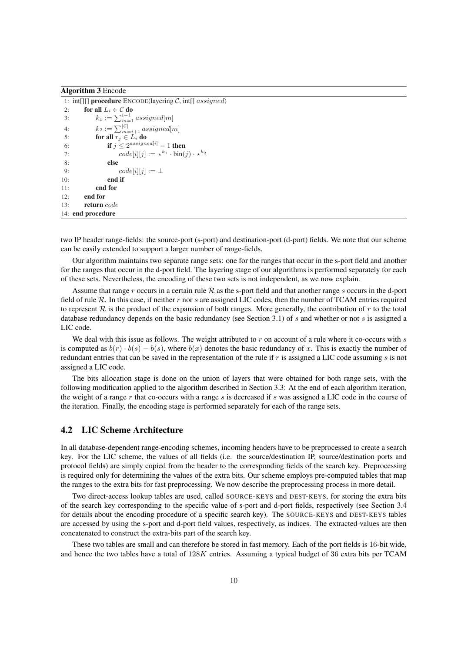| <b>Algorithm 3 Encode</b> |  |
|---------------------------|--|
|---------------------------|--|

|     | 1: int[][] <b>procedure</b> ENCODE(layering C, int[] $assigned$ ) |
|-----|-------------------------------------------------------------------|
| 2:  | for all $L_i \in \mathcal{C}$ do                                  |
| 3:  | $k_1 := \sum_{m=1}^{i-1} assigned[m]$                             |
| 4:  | $k_2 := \sum_{m=i+1}^{\vert \mathcal{C} \vert} assigned[m]$       |
| 5:  | for all $r_i \in L_i$ do                                          |
| 6:  | if $j < 2^{assigned[i]} - 1$ then                                 |
| 7:  | $code[i][j] := \star^{k_1} \cdot \text{bin}(j) \cdot \star^{k_2}$ |
| 8:  | else                                                              |
| 9:  | $code[i][j] := \perp$                                             |
| 10: | end if                                                            |
| 11: | end for                                                           |
| 12: | end for                                                           |
| 13: | return code                                                       |
|     | 14: end procedure                                                 |

two IP header range-fields: the source-port (s-port) and destination-port (d-port) fields. We note that our scheme can be easily extended to support a larger number of range-fields.

Our algorithm maintains two separate range sets: one for the ranges that occur in the s-port field and another for the ranges that occur in the d-port field. The layering stage of our algorithms is performed separately for each of these sets. Nevertheless, the encoding of these two sets is not independent, as we now explain.

Assume that range r occurs in a certain rule  $R$  as the s-port field and that another range s occurs in the d-port field of rule  $R$ . In this case, if neither r nor s are assigned LIC codes, then the number of TCAM entries required to represent  $R$  is the product of the expansion of both ranges. More generally, the contribution of r to the total database redundancy depends on the basic redundancy (see Section 3.1) of s and whether or not s is assigned a LIC code.

We deal with this issue as follows. The weight attributed to r on account of a rule where it co-occurs with  $s$ is computed as  $b(r) \cdot b(s) - b(s)$ , where  $b(x)$  denotes the basic redundancy of x. This is exactly the number of redundant entries that can be saved in the representation of the rule if  $r$  is assigned a LIC code assuming  $s$  is not assigned a LIC code.

The bits allocation stage is done on the union of layers that were obtained for both range sets, with the following modification applied to the algorithm described in Section 3.3: At the end of each algorithm iteration, the weight of a range r that co-occurs with a range s is decreased if s was assigned a LIC code in the course of the iteration. Finally, the encoding stage is performed separately for each of the range sets.

### 4.2 LIC Scheme Architecture

In all database-dependent range-encoding schemes, incoming headers have to be preprocessed to create a search key. For the LIC scheme, the values of all fields (i.e. the source/destination IP, source/destination ports and protocol fields) are simply copied from the header to the corresponding fields of the search key. Preprocessing is required only for determining the values of the extra bits. Our scheme employs pre-computed tables that map the ranges to the extra bits for fast preprocessing. We now describe the preprocessing process in more detail.

Two direct-access lookup tables are used, called SOURCE-KEYS and DEST-KEYS, for storing the extra bits of the search key corresponding to the specific value of s-port and d-port fields, respectively (see Section 3.4 for details about the encoding procedure of a specific search key). The SOURCE-KEYS and DEST-KEYS tables are accessed by using the s-port and d-port field values, respectively, as indices. The extracted values are then concatenated to construct the extra-bits part of the search key.

These two tables are small and can therefore be stored in fast memory. Each of the port fields is 16-bit wide, and hence the two tables have a total of 128K entries. Assuming a typical budget of 36 extra bits per TCAM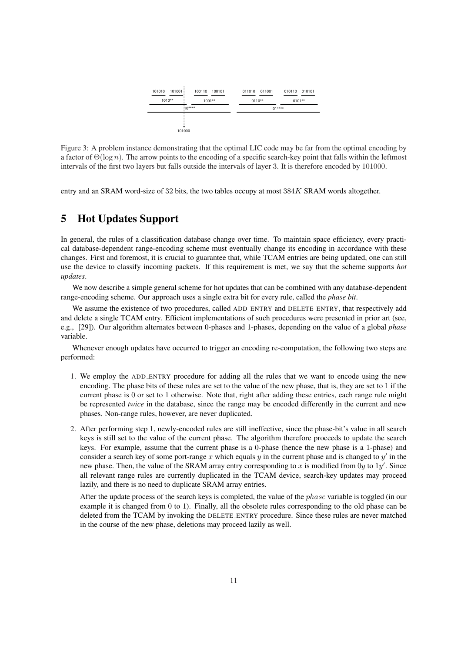

Figure 3: A problem instance demonstrating that the optimal LIC code may be far from the optimal encoding by a factor of  $\Theta(\log n)$ . The arrow points to the encoding of a specific search-key point that falls within the leftmost intervals of the first two layers but falls outside the intervals of layer 3. It is therefore encoded by 101000.

entry and an SRAM word-size of 32 bits, the two tables occupy at most 384K SRAM words altogether.

# 5 Hot Updates Support

In general, the rules of a classification database change over time. To maintain space efficiency, every practical database-dependent range-encoding scheme must eventually change its encoding in accordance with these changes. First and foremost, it is crucial to guarantee that, while TCAM entries are being updated, one can still use the device to classify incoming packets. If this requirement is met, we say that the scheme supports *hot updates*.

We now describe a simple general scheme for hot updates that can be combined with any database-dependent range-encoding scheme. Our approach uses a single extra bit for every rule, called the *phase bit*.

We assume the existence of two procedures, called ADD ENTRY and DELETE ENTRY, that respectively add and delete a single TCAM entry. Efficient implementations of such procedures were presented in prior art (see, e.g., [29]). Our algorithm alternates between 0-phases and 1-phases, depending on the value of a global *phase* variable.

Whenever enough updates have occurred to trigger an encoding re-computation, the following two steps are performed:

- 1. We employ the ADD ENTRY procedure for adding all the rules that we want to encode using the new encoding. The phase bits of these rules are set to the value of the new phase, that is, they are set to 1 if the current phase is 0 or set to 1 otherwise. Note that, right after adding these entries, each range rule might be represented *twice* in the database, since the range may be encoded differently in the current and new phases. Non-range rules, however, are never duplicated.
- 2. After performing step 1, newly-encoded rules are still ineffective, since the phase-bit's value in all search keys is still set to the value of the current phase. The algorithm therefore proceeds to update the search keys. For example, assume that the current phase is a 0-phase (hence the new phase is a 1-phase) and consider a search key of some port-range x which equals y in the current phase and is changed to  $y'$  in the new phase. Then, the value of the SRAM array entry corresponding to x is modified from 0y to  $1y'$ . Since all relevant range rules are currently duplicated in the TCAM device, search-key updates may proceed lazily, and there is no need to duplicate SRAM array entries.

After the update process of the search keys is completed, the value of the phase variable is toggled (in our example it is changed from 0 to 1). Finally, all the obsolete rules corresponding to the old phase can be deleted from the TCAM by invoking the DELETE ENTRY procedure. Since these rules are never matched in the course of the new phase, deletions may proceed lazily as well.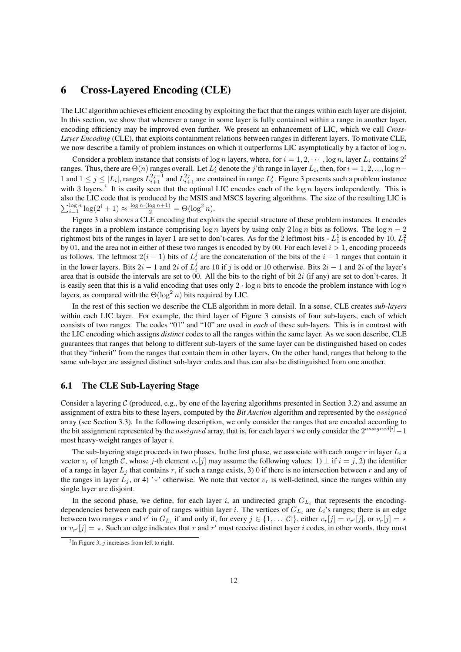## 6 Cross-Layered Encoding (CLE)

The LIC algorithm achieves efficient encoding by exploiting the fact that the ranges within each layer are disjoint. In this section, we show that whenever a range in some layer is fully contained within a range in another layer, encoding efficiency may be improved even further. We present an enhancement of LIC, which we call *Cross-Layer Encoding* (CLE), that exploits containment relations between ranges in different layers. To motivate CLE, we now describe a family of problem instances on which it outperforms LIC asymptotically by a factor of  $log n$ .

Consider a problem instance that consists of  $\log n$  layers, where, for  $i = 1, 2, \cdots, \log n$ , layer  $L_i$  contains  $2^i$ ranges. Thus, there are  $\Theta(n)$  ranges overall. Let  $L_i^j$  denote the j'th range in layer  $L_i$ , then, for  $i = 1, 2, ..., \log n -$ 1 and  $1 \le j \le |L_i|$ , ranges  $L_{i+1}^{2j-1}$  and  $L_{i+1}^{2j}$  are contained in range  $L_i^j$ . Figure 3 presents such a problem instance with 3 layers.<sup>3</sup> It is easily seen that the optimal LIC encodes each of the  $\log n$  layers independently. This is also the LIC code that is produced by the MSIS and MSCS layering algorithms. The size of the resulting LIC is also the Ere code that is produced by the W515 and  $\sum_{i=1}^{\log n} \log(2^i + 1) \approx \frac{\log n \cdot (\log n + 1)}{2} = \Theta(\log^2 n)$ .

Figure 3 also shows a CLE encoding that exploits the special structure of these problem instances. It encodes the ranges in a problem instance comprising  $\log n$  layers by using only  $2 \log n$  bits as follows. The  $\log n - 2$ rightmost bits of the ranges in layer 1 are set to don't-cares. As for the 2 leftmost bits -  $L_1^1$  is encoded by 10,  $L_1^2$ by 01, and the area not in either of these two ranges is encoded by by 00. For each level  $i > 1$ , encoding proceeds as follows. The leftmost  $2(i - 1)$  bits of  $L_i^j$  are the concatenation of the bits of the  $i - 1$  ranges that contain it in the lower layers. Bits  $2i - 1$  and  $2i$  of  $L_i^j$  are 10 if j is odd or 10 otherwise. Bits  $2i - 1$  and  $2i$  of the layer's area that is outside the intervals are set to 00. All the bits to the right of bit 2i (if any) are set to don't-cares. It is easily seen that this is a valid encoding that uses only  $2 \cdot \log n$  bits to encode the problem instance with  $\log n$ layers, as compared with the  $\Theta(\log^2 n)$  bits required by LIC.

In the rest of this section we describe the CLE algorithm in more detail. In a sense, CLE creates *sub-layers* within each LIC layer. For example, the third layer of Figure 3 consists of four sub-layers, each of which consists of two ranges. The codes "01" and "10" are used in *each* of these sub-layers. This is in contrast with the LIC encoding which assigns *distinct* codes to all the ranges within the same layer. As we soon describe, CLE guarantees that ranges that belong to different sub-layers of the same layer can be distinguished based on codes that they "inherit" from the ranges that contain them in other layers. On the other hand, ranges that belong to the same sub-layer are assigned distinct sub-layer codes and thus can also be distinguished from one another.

### 6.1 The CLE Sub-Layering Stage

Consider a layering  $C$  (produced, e.g., by one of the layering algorithms presented in Section 3.2) and assume an assignment of extra bits to these layers, computed by the *Bit Auction* algorithm and represented by the assigned array (see Section 3.3). In the following description, we only consider the ranges that are encoded according to the bit assignment represented by the *assigned* array, that is, for each layer i we only consider the  $2^{assigned[i]} - 1$ most heavy-weight ranges of layer i.

The sub-layering stage proceeds in two phases. In the first phase, we associate with each range r in layer  $L_i$  a vector  $v_r$  of length C, whose j-th element  $v_r[j]$  may assume the following values: 1)  $\perp$  if  $i = j, 2$ ) the identifier of a range in layer  $L_i$  that contains r, if such a range exists, 3) 0 if there is no intersection between r and any of the ranges in layer  $L_i$ , or 4) '\*' otherwise. We note that vector  $v_r$  is well-defined, since the ranges within any single layer are disjoint.

In the second phase, we define, for each layer i, an undirected graph  $G_{L_i}$  that represents the encodingdependencies between each pair of ranges within layer *i*. The vertices of  $G_{L_i}$  are  $L_i$ 's ranges; there is an edge between two ranges r and r' in  $G_{L_i}$  if and only if, for every  $j \in \{1, \dots |\mathcal{C}|\}$ , either  $v_r[j] = v_{r'}[j]$ , or  $v_r[j] = \star$ or  $v_{r'}[j] = \star$ . Such an edge indicates that r and r' must receive distinct layer i codes, in other words, they must

 $3$ In Figure 3, *j* increases from left to right.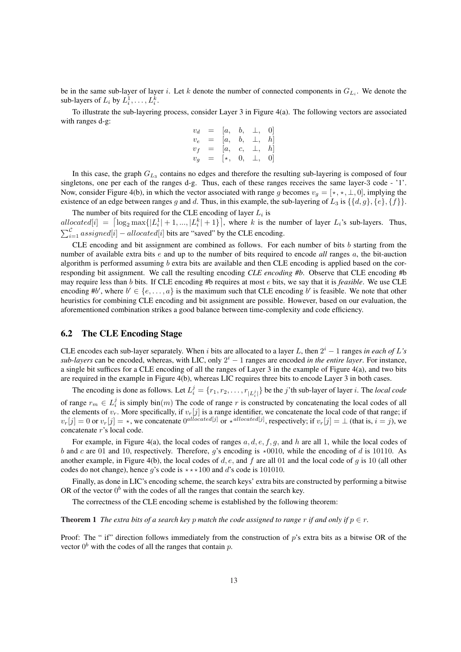be in the same sub-layer of layer *i*. Let k denote the number of connected components in  $G_{L_i}$ . We denote the sub-layers of  $L_i$  by  $L_i^1, \ldots, L_i^k$ .

To illustrate the sub-layering process, consider Layer 3 in Figure 4(a). The following vectors are associated with ranges d-g:

$$
\begin{array}{rcl} v_d &=& [a, \quad b, \quad \bot, \quad 0] \\ v_e &=& [a, \quad b, \quad \bot, \quad h] \\ v_f &=& [a, \quad c, \quad \bot, \quad h] \\ v_g &=& [ \star, \quad 0, \quad \bot, \quad 0] \end{array}
$$

In this case, the graph  $G_{L_3}$  contains no edges and therefore the resulting sub-layering is composed of four singletons, one per each of the ranges d-g. Thus, each of these ranges receives the same layer-3 code - '1'. Now, consider Figure 4(b), in which the vector associated with range g becomes  $v_g = [*, *, \_], 0]$ , implying the existence of an edge between ranges g and d. Thus, in this example, the sub-layering of  $L_3$  is  $\{\{d, g\}, \{e\}, \{f\}\}.$ 

The number of bits required for the CLE encoding of layer  $L_i$  is The number of bits required for the CLE encoding of layer  $L_i$  is<br>allocated[i] =  $\left[\log_2 \max\{|L_i^1|+1,...,|L_i^k|+1\}\right]$ , where k is the number of layer  $L_i$ 's sub-layers. Thus,  $\sum_{i=1}^{C}$  assigned[i] – allocated[i] bits are "saved" by the CLE encoding.

CLE encoding and bit assignment are combined as follows. For each number of bits  $b$  starting from the number of available extra bits e and up to the number of bits required to encode *all* ranges a, the bit-auction algorithm is performed assuming  $b$  extra bits are available and then CLE encoding is applied based on the corresponding bit assignment. We call the resulting encoding *CLE encoding #b*. Observe that CLE encoding #b may require less than b bits. If CLE encoding #b requires at most e bits, we say that it is *feasible*. We use CLE encoding #b', where  $b' \in \{e, \ldots, a\}$  is the maximum such that CLE encoding b' is feasible. We note that other heuristics for combining CLE encoding and bit assignment are possible. However, based on our evaluation, the aforementioned combination strikes a good balance between time-complexity and code efficiency.

## 6.2 The CLE Encoding Stage

CLE encodes each sub-layer separately. When i bits are allocated to a layer L, then  $2^i - 1$  ranges in each of L's  $sub-layers$  can be encoded, whereas, with LIC, only  $2<sup>i</sup> - 1$  ranges are encoded *in the entire layer*. For instance, a single bit suffices for a CLE encoding of all the ranges of Layer 3 in the example of Figure 4(a), and two bits are required in the example in Figure 4(b), whereas LIC requires three bits to encode Layer 3 in both cases.

The encoding is done as follows. Let  $L_i^j = \{r_1, r_2, \ldots, r_{|L_i^j|}\}$  be the *j*'th sub-layer of layer *i*. The *local code* of range  $r_m \in L_i^j$  is simply bin $(m)$  The code of range r is constructed by concatenating the local codes of all the elements of  $v_r$ . More specifically, if  $v_r[j]$  is a range identifier, we concatenate the local code of that range; if  $v_r[j] = 0$  or  $v_r[j] = *$ , we concatenate  $0^{allocated[j]}$  or  $*^{allocated[j]}$ , respectively; if  $v_r[j] = \bot$  (that is,  $i = j$ ), we concatenate r's local code.

For example, in Figure 4(a), the local codes of ranges  $a, d, e, f, g$ , and h are all 1, while the local codes of b and c are 01 and 10, respectively. Therefore, g's encoding is  $\star$ 0010, while the encoding of d is 10110. As another example, in Figure 4(b), the local codes of d, e, and f are all 01 and the local code of q is 10 (all other codes do not change), hence q's code is  $\star \star \star 100$  and d's code is 101010.

Finally, as done in LIC's encoding scheme, the search keys' extra bits are constructed by performing a bitwise OR of the vector  $0^b$  with the codes of all the ranges that contain the search key.

The correctness of the CLE encoding scheme is established by the following theorem:

**Theorem 1** *The extra bits of a search key p match the code assigned to range* r *if and only if*  $p \in r$ *.* 

Proof: The " if" direction follows immediately from the construction of p's extra bits as a bitwise OR of the vector  $0^b$  with the codes of all the ranges that contain p.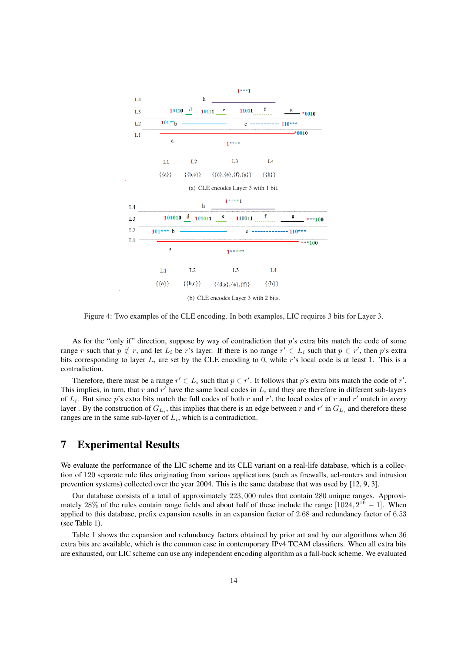

Figure 4: Two examples of the CLE encoding. In both examples, LIC requires 3 bits for Layer 3.

As for the "only if" direction, suppose by way of contradiction that  $p$ 's extra bits match the code of some range r such that  $p \notin r$ , and let  $L_i$  be r's layer. If there is no range  $r' \in L_i$  such that  $p \in r'$ , then p's extra bits corresponding to layer  $L_i$  are set by the CLE encoding to 0, while r's local code is at least 1. This is a contradiction.

Therefore, there must be a range  $r' \in L_i$  such that  $p \in r'$ . It follows that p's extra bits match the code of r'. This implies, in turn, that r and r' have the same local codes in  $L_i$  and they are therefore in different sub-layers of  $L_i$ . But since p's extra bits match the full codes of both r and r', the local codes of r and r' match in *every* layer. By the construction of  $G_{L_i}$ , this implies that there is an edge between r and r' in  $G_{L_i}$  and therefore these ranges are in the same sub-layer of  $L_i$ , which is a contradiction.

## 7 Experimental Results

We evaluate the performance of the LIC scheme and its CLE variant on a real-life database, which is a collection of 120 separate rule files originating from various applications (such as firewalls, acl-routers and intrusion prevention systems) collected over the year 2004. This is the same database that was used by [12, 9, 3].

Our database consists of a total of approximately 223, 000 rules that contain 280 unique ranges. Approximately 28% of the rules contain range fields and about half of these include the range  $[1024, 2^{16} - 1]$ . When applied to this database, prefix expansion results in an expansion factor of 2.68 and redundancy factor of 6.53 (see Table 1).

Table 1 shows the expansion and redundancy factors obtained by prior art and by our algorithms when 36 extra bits are available, which is the common case in contemporary IPv4 TCAM classifiers. When all extra bits are exhausted, our LIC scheme can use any independent encoding algorithm as a fall-back scheme. We evaluated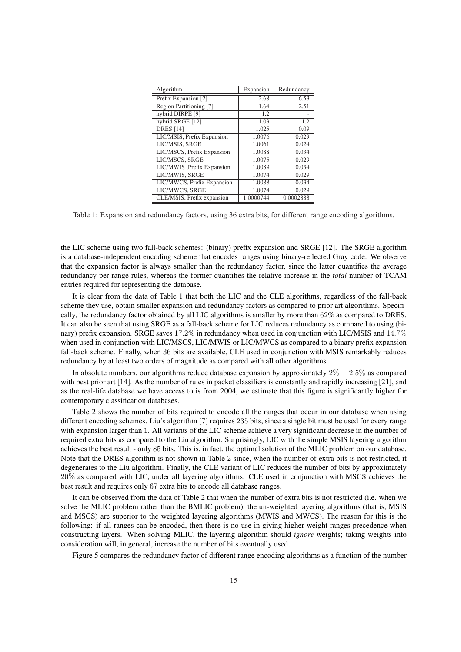| Algorithm                   | Expansion | Redundancy |
|-----------------------------|-----------|------------|
| Prefix Expansion [2]        | 2.68      | 6.53       |
| Region Partitioning [7]     | 1.64      | 2.51       |
| hybrid DIRPE <sup>[9]</sup> | 1.2       |            |
| hybrid SRGE [12]            | 1.03      | 1.2        |
| <b>DRES</b> [14]            | 1.025     | 0.09       |
| LIC/MSIS, Prefix Expansion  | 1.0076    | 0.029      |
| LIC/MSIS, SRGE              | 1.0061    | 0.024      |
| LIC/MSCS, Prefix Expansion  | 1.0088    | 0.034      |
| LIC/MSCS, SRGE              | 1.0075    | 0.029      |
| LIC/MWIS , Prefix Expansion | 1.0089    | 0.034      |
| LIC/MWIS, SRGE              | 1.0074    | 0.029      |
| LIC/MWCS, Prefix Expansion  | 1.0088    | 0.034      |
| LIC/MWCS, SRGE              | 1.0074    | 0.029      |
| CLE/MSIS, Prefix expansion  | 1.0000744 | 0.0002888  |

Table 1: Expansion and redundancy factors, using 36 extra bits, for different range encoding algorithms.

the LIC scheme using two fall-back schemes: (binary) prefix expansion and SRGE [12]. The SRGE algorithm is a database-independent encoding scheme that encodes ranges using binary-reflected Gray code. We observe that the expansion factor is always smaller than the redundancy factor, since the latter quantifies the average redundancy per range rules, whereas the former quantifies the relative increase in the *total* number of TCAM entries required for representing the database.

It is clear from the data of Table 1 that both the LIC and the CLE algorithms, regardless of the fall-back scheme they use, obtain smaller expansion and redundancy factors as compared to prior art algorithms. Specifically, the redundancy factor obtained by all LIC algorithms is smaller by more than 62% as compared to DRES. It can also be seen that using SRGE as a fall-back scheme for LIC reduces redundancy as compared to using (binary) prefix expansion. SRGE saves 17.2% in redundancy when used in conjunction with LIC/MSIS and 14.7% when used in conjunction with LIC/MSCS, LIC/MWIS or LIC/MWCS as compared to a binary prefix expansion fall-back scheme. Finally, when 36 bits are available, CLE used in conjunction with MSIS remarkably reduces redundancy by at least two orders of magnitude as compared with all other algorithms.

In absolute numbers, our algorithms reduce database expansion by approximately  $2\% - 2.5\%$  as compared with best prior art [14]. As the number of rules in packet classifiers is constantly and rapidly increasing [21], and as the real-life database we have access to is from 2004, we estimate that this figure is significantly higher for contemporary classification databases.

Table 2 shows the number of bits required to encode all the ranges that occur in our database when using different encoding schemes. Liu's algorithm [7] requires 235 bits, since a single bit must be used for every range with expansion larger than 1. All variants of the LIC scheme achieve a very significant decrease in the number of required extra bits as compared to the Liu algorithm. Surprisingly, LIC with the simple MSIS layering algorithm achieves the best result - only 85 bits. This is, in fact, the optimal solution of the MLIC problem on our database. Note that the DRES algorithm is not shown in Table 2 since, when the number of extra bits is not restricted, it degenerates to the Liu algorithm. Finally, the CLE variant of LIC reduces the number of bits by approximately 20% as compared with LIC, under all layering algorithms. CLE used in conjunction with MSCS achieves the best result and requires only 67 extra bits to encode all database ranges.

It can be observed from the data of Table 2 that when the number of extra bits is not restricted (i.e. when we solve the MLIC problem rather than the BMLIC problem), the un-weighted layering algorithms (that is, MSIS and MSCS) are superior to the weighted layering algorithms (MWIS and MWCS). The reason for this is the following: if all ranges can be encoded, then there is no use in giving higher-weight ranges precedence when constructing layers. When solving MLIC, the layering algorithm should *ignore* weights; taking weights into consideration will, in general, increase the number of bits eventually used.

Figure 5 compares the redundancy factor of different range encoding algorithms as a function of the number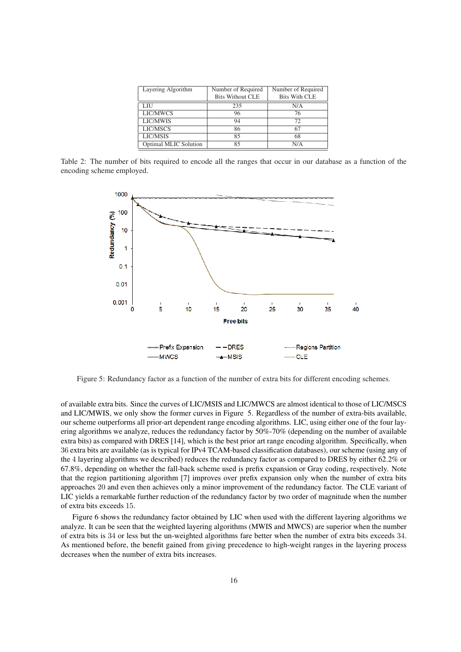| Layering Algorithm    | Number of Required      | Number of Required   |
|-----------------------|-------------------------|----------------------|
|                       | <b>Bits Without CLE</b> | <b>Bits With CLE</b> |
| LIU                   | 235                     | N/A                  |
| LIC/MWCS              | 96                      | 76                   |
| LIC/MWIS              | 94                      | 72                   |
| LIC/MSCS              | 86                      | 67                   |
| LIC/MSIS              | 85                      | 68                   |
| Optimal MLIC Solution | 85                      | N/A                  |

Table 2: The number of bits required to encode all the ranges that occur in our database as a function of the encoding scheme employed.



Figure 5: Redundancy factor as a function of the number of extra bits for different encoding schemes.

of available extra bits. Since the curves of LIC/MSIS and LIC/MWCS are almost identical to those of LIC/MSCS and LIC/MWIS, we only show the former curves in Figure 5. Regardless of the number of extra-bits available, our scheme outperforms all prior-art dependent range encoding algorithms. LIC, using either one of the four layering algorithms we analyze, reduces the redundancy factor by 50%-70% (depending on the number of available extra bits) as compared with DRES [14], which is the best prior art range encoding algorithm. Specifically, when 36 extra bits are available (as is typical for IPv4 TCAM-based classification databases), our scheme (using any of the 4 layering algorithms we described) reduces the redundancy factor as compared to DRES by either 62.2% or 67.8%, depending on whether the fall-back scheme used is prefix expansion or Gray coding, respectively. Note that the region partitioning algorithm [7] improves over prefix expansion only when the number of extra bits approaches 20 and even then achieves only a minor improvement of the redundancy factor. The CLE variant of LIC yields a remarkable further reduction of the redundancy factor by two order of magnitude when the number of extra bits exceeds 15.

Figure 6 shows the redundancy factor obtained by LIC when used with the different layering algorithms we analyze. It can be seen that the weighted layering algorithms (MWIS and MWCS) are superior when the number of extra bits is 34 or less but the un-weighted algorithms fare better when the number of extra bits exceeds 34. As mentioned before, the benefit gained from giving precedence to high-weight ranges in the layering process decreases when the number of extra bits increases.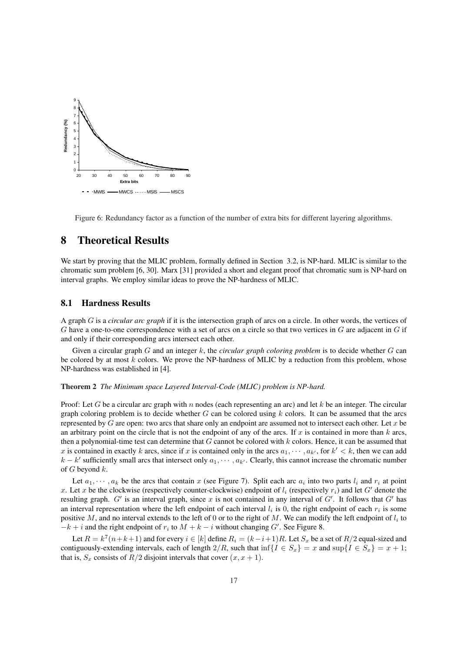

Figure 6: Redundancy factor as a function of the number of extra bits for different layering algorithms.

## 8 Theoretical Results

We start by proving that the MLIC problem, formally defined in Section 3.2, is NP-hard. MLIC is similar to the chromatic sum problem [6, 30]. Marx [31] provided a short and elegant proof that chromatic sum is NP-hard on interval graphs. We employ similar ideas to prove the NP-hardness of MLIC.

## 8.1 Hardness Results

A graph G is a *circular arc graph* if it is the intersection graph of arcs on a circle. In other words, the vertices of G have a one-to-one correspondence with a set of arcs on a circle so that two vertices in  $G$  are adjacent in  $G$  if and only if their corresponding arcs intersect each other.

Given a circular graph G and an integer k, the *circular graph coloring problem* is to decide whether G can be colored by at most  $k$  colors. We prove the NP-hardness of MLIC by a reduction from this problem, whose NP-hardness was established in [4].

### Theorem 2 *The Minimum space Layered Interval-Code (MLIC) problem is NP-hard.*

Proof: Let G be a circular arc graph with n nodes (each representing an arc) and let k be an integer. The circular graph coloring problem is to decide whether  $G$  can be colored using  $k$  colors. It can be assumed that the arcs represented by  $G$  are open: two arcs that share only an endpoint are assumed not to intersect each other. Let  $x$  be an arbitrary point on the circle that is not the endpoint of any of the arcs. If x is contained in more than  $k$  arcs, then a polynomial-time test can determine that  $G$  cannot be colored with  $k$  colors. Hence, it can be assumed that x is contained in exactly k arcs, since if x is contained only in the arcs  $a_1, \dots, a_{k'}$ , for  $k' < k$ , then we can add  $k - k'$  sufficiently small arcs that intersect only  $a_1, \dots, a_{k'}$ . Clearly, this cannot increase the chromatic number of  $G$  beyond  $k$ .

Let  $a_1, \dots, a_k$  be the arcs that contain x (see Figure 7). Split each arc  $a_i$  into two parts  $l_i$  and  $r_i$  at point x. Let x be the clockwise (respectively counter-clockwise) endpoint of  $l_i$  (respectively  $r_i$ ) and let G' denote the resulting graph.  $G'$  is an interval graph, since x is not contained in any interval of  $G'$ . It follows that  $G'$  has an interval representation where the left endpoint of each interval  $l_i$  is 0, the right endpoint of each  $r_i$  is some positive M, and no interval extends to the left of 0 or to the right of M. We can modify the left endpoint of  $l_i$  to  $-k + i$  and the right endpoint of  $r_i$  to  $M + k - i$  without changing G'. See Figure 8.

Let  $R = k^7(n+k+1)$  and for every  $i \in [k]$  define  $R_i = (k-i+1)R$ . Let  $S_x$  be a set of  $R/2$  equal-sized and contiguously-extending intervals, each of length  $2/R$ , such that inf $\{I \in S_x\} = x$  and  $\sup\{I \in S_x\} = x + 1$ ; that is,  $S_x$  consists of  $R/2$  disjoint intervals that cover  $(x, x + 1)$ .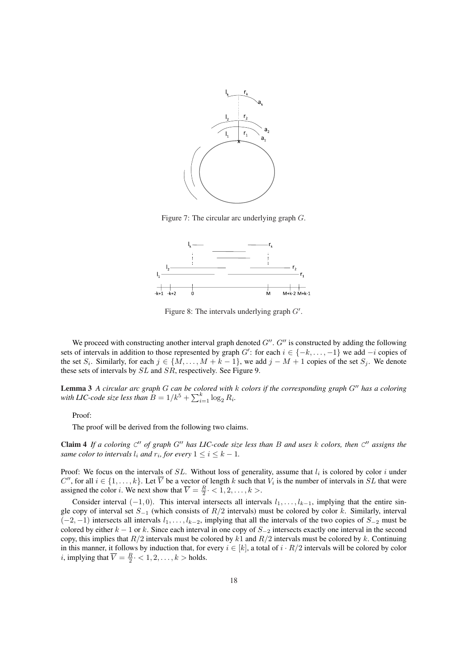

Figure 7: The circular arc underlying graph G.



Figure 8: The intervals underlying graph  $G'$ .

We proceed with constructing another interval graph denoted  $G''$ .  $G''$  is constructed by adding the following sets of intervals in addition to those represented by graph  $G'$ : for each  $i \in \{-k, \ldots, -1\}$  we add  $-i$  copies of the set  $S_i$ . Similarly, for each  $j \in \{M, \ldots, M + k - 1\}$ , we add  $j - M + 1$  copies of the set  $S_j$ . We denote these sets of intervals by SL and SR, respectively. See Figure 9.

Lemma 3 *A circular arc graph G can be colored with* k *colors if the corresponding graph G*<sup>*n*</sup> *has a coloring* **Lemma 5** A circular arc graph G can be colored with  $M$ .<br>*With LIC-code size less than*  $B = 1/k^5 + \sum_{i=1}^k \log_2 R_i$ .

Proof:

The proof will be derived from the following two claims.

Claim 4 If a coloring  $C''$  of graph  $G''$  has LIC-code size less than B and uses k colors, then  $C''$  assigns the *same color to intervals*  $l_i$  *and*  $r_i$ *, for every*  $1 \leq i \leq k - 1$ *.* 

Proof: We focus on the intervals of  $SL$ . Without loss of generality, assume that  $l_i$  is colored by color i under C'', for all  $i \in \{1, ..., k\}$ . Let  $\overline{V}$  be a vector of length k such that  $V_i$  is the number of intervals in SL that were assigned the color *i*. We next show that  $\overline{V} = \frac{R}{2} \cdot \langle 1, 2, \dots, k \rangle$ .

Consider interval  $(-1, 0)$ . This interval intersects all intervals  $l_1, \ldots, l_{k-1}$ , implying that the entire single copy of interval set  $S_{-1}$  (which consists of  $R/2$  intervals) must be colored by color k. Similarly, interval  $(-2, -1)$  intersects all intervals  $l_1, \ldots, l_{k-2}$ , implying that all the intervals of the two copies of  $S_{-2}$  must be colored by either  $k - 1$  or k. Since each interval in one copy of  $S_{-2}$  intersects exactly one interval in the second copy, this implies that  $R/2$  intervals must be colored by k1 and  $R/2$  intervals must be colored by k. Continuing in this manner, it follows by induction that, for every  $i \in [k]$ , a total of  $i \cdot R/2$  intervals will be colored by color *i*, implying that  $\overline{V} = \frac{R}{2} \cdot < 1, 2, \dots, k >$  holds.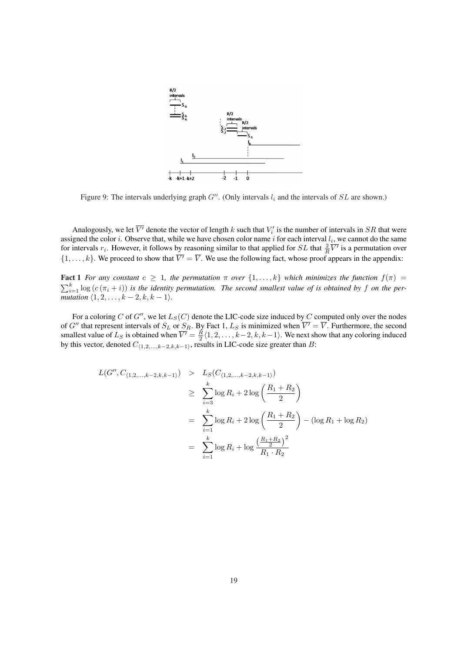

Figure 9: The intervals underlying graph  $G''$ . (Only intervals  $l_i$  and the intervals of  $SL$  are shown.)

Analogously, we let  $\overline{V'}$  denote the vector of length k such that  $V'_i$  is the number of intervals in  $SR$  that were assigned the color *i*. Observe that, while we have chosen color name *i* for each interval  $l_i$ , we cannot do the same for intervals  $r_i$ . However, it follows by reasoning similar to that applied for SL that  $\frac{2}{R}\overline{V'}$  is a permutation over  $\{1,\ldots,k\}$ . We proceed to show that  $\overline{V'} = \overline{V}$ . We use the following fact, whose proof appears in the appendix:

**Fact 1** *For any constant*  $c \ge 1$ *, the permutation*  $\pi$  *over*  $\{1, ..., k\}$  *which minimizes the function*  $f(\pi)$  = Fact 1 For any consume  $c \geq 1$ , the permutation is over  $\{1, \ldots, k\}$  which minimizes the junction  $f(n) = \sum_{i=1}^{k} \log (c(\pi_i + i))$  is the identity permutation. The second smallest value of is obtained by f on the per*mutation*  $\langle 1, 2, \ldots, k - 2, k, k - 1 \rangle$ *.* 

For a coloring C of G'', we let  $L_S(C)$  denote the LIC-code size induced by C computed only over the nodes of G'' that represent intervals of  $S_L$  or  $S_R$ . By Fact 1,  $L_S$  is minimized when  $\overline{V'} = \overline{V}$ . Furthermore, the second smallest value of  $L_S$  is obtained when  $\overline{V'} = \frac{R}{2} \langle 1, 2, \ldots, k-2, k, k-1 \rangle$ . We next show that any coloring induced by this vector, denoted  $C_{(1,2,...,k-2,k,k-1)}$ , results in LIC-code size greater than B:

$$
L(G'', C_{(1,2,...,k-2,k,k-1)}) > L_S(C_{(1,2,...,k-2,k,k-1)})
$$
  
\n
$$
\geq \sum_{i=3}^k \log R_i + 2 \log \left( \frac{R_1 + R_2}{2} \right)
$$
  
\n
$$
= \sum_{i=1}^k \log R_i + 2 \log \left( \frac{R_1 + R_2}{2} \right) - (\log R_1 + \log R_2)
$$
  
\n
$$
= \sum_{i=1}^k \log R_i + \log \frac{\left( \frac{R_1 + R_2}{2} \right)^2}{R_1 \cdot R_2}
$$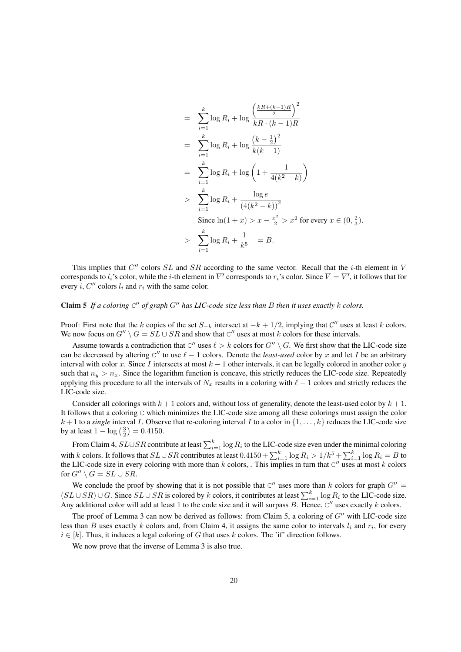$$
= \sum_{i=1}^{k} \log R_i + \log \frac{\left(\frac{kR + (k-1)R}{2}\right)^2}{kR \cdot (k-1)R}
$$
  
\n
$$
= \sum_{i=1}^{k} \log R_i + \log \frac{\left(k - \frac{1}{2}\right)^2}{k(k-1)}
$$
  
\n
$$
= \sum_{i=1}^{k} \log R_i + \log \left(1 + \frac{1}{4(k^2 - k)}\right)
$$
  
\n
$$
> \sum_{i=1}^{k} \log R_i + \frac{\log e}{\left(4(k^2 - k)\right)^2}
$$
  
\nSince  $\ln(1 + x) > x - \frac{x^2}{2} > x^2$  for every  $x \in (0, \frac{2}{3})$ .  
\n
$$
> \sum_{i=1}^{k} \log R_i + \frac{1}{k^5} = B.
$$

This implies that C'' colors SL and SR according to the same vector. Recall that the *i*-th element in  $\overline{V}$ corresponds to  $l_i$ 's color, while the  $i$ -th element in  $\overline{V'}$  corresponds to  $r_i$ 's color. Since  $\overline{V}=\overline{V'}$ , it follows that for every *i*,  $C''$  colors  $l_i$  and  $r_i$  with the same color.

## Claim 5 If a coloring  $C''$  of graph  $G''$  has LIC-code size less than B then it uses exactly  $k$  colors.

Proof: First note that the k copies of the set  $S_{-k}$  intersect at  $-k + 1/2$ , implying that  $\mathcal{C}''$  uses at least k colors. We now focus on  $G'' \setminus G = SL \cup SR$  and show that C'' uses at most k colors for these intervals.

Assume towards a contradiction that C'' uses  $\ell > k$  colors for  $G'' \setminus G$ . We first show that the LIC-code size can be decreased by altering  $C''$  to use  $\ell - 1$  colors. Denote the *least-used* color by x and let I be an arbitrary interval with color x. Since I intersects at most  $k - 1$  other intervals, it can be legally colored in another color y such that  $n_y > n_x$ . Since the logarithm function is concave, this strictly reduces the LIC-code size. Repeatedly applying this procedure to all the intervals of  $N_x$  results in a coloring with  $\ell - 1$  colors and strictly reduces the LIC-code size.

Consider all colorings with  $k + 1$  colors and, without loss of generality, denote the least-used color by  $k + 1$ . It follows that a coloring C which minimizes the LIC-code size among all these colorings must assign the color  $k+1$  to a *single* interval I. Observe that re-coloring interval I to a color in  $\{1,\ldots,k\}$  reduces the LIC-code size  $\kappa + 1$  to a *single* interval 1. Obser<br>by at least  $1 - \log(\frac{3}{2}) = 0.4150$ .

From Claim 4,  $SL \cup SR$  contribute at least  $\sum_{i=1}^{k} \log R_i$  to the LIC-code size even under the minimal coloring with k colors. It follows that  $SL \cup SR$  contributes at least  $0.4150 + \sum_{i=1}^{k} \log R_i > 1/k^5 + \sum_{i=1}^{k} \log R_i = B$  to the LIC-code size in every coloring with more than  $k$  colors, . This implies in turn that  $C''$  uses at most  $k$  colors for  $G'' \setminus G = SL \cup SR$ .

We conclude the proof by showing that it is not possible that  $C''$  uses more than k colors for graph  $G'' =$ (SL ∪ SR) ∪ G. Since  $SL \cup SR$  is colored by k colors, it contributes at least  $\sum_{k=1}^{k} \log R_i$  to the LIC-code size. Any additional color will add at least 1 to the code size and it will surpass B. Hence,  $C''$  uses exactly k colors.

The proof of Lemma 3 can now be derived as follows: from Claim 5, a coloring of  $G''$  with LIC-code size less than B uses exactly k colors and, from Claim 4, it assigns the same color to intervals  $l_i$  and  $r_i$ , for every  $i \in [k]$ . Thus, it induces a legal coloring of G that uses k colors. The 'if' direction follows.

We now prove that the inverse of Lemma 3 is also true.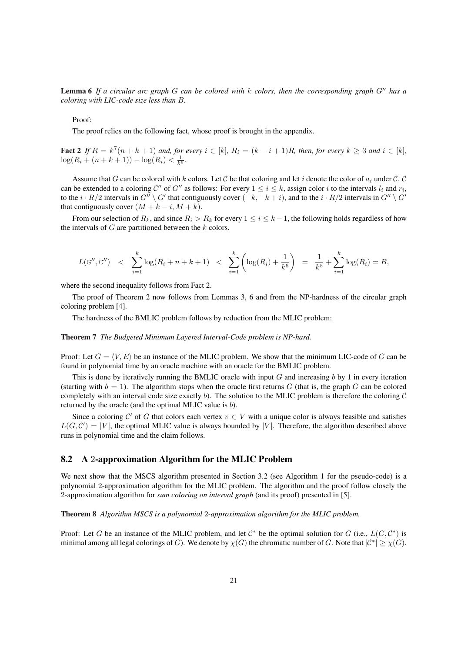Lemma 6 If a circular arc graph G can be colored with k colors, then the corresponding graph G<sup>tt</sup> has a *coloring with LIC-code size less than* B*.*

### Proof:

The proof relies on the following fact, whose proof is brought in the appendix.

Fact 2 If  $R = k^7(n+k+1)$  and, for every  $i \in [k]$ ,  $R_i = (k-i+1)R$ , then, for every  $k \geq 3$  and  $i \in [k]$ ,  $\log(R_i + (n + k + 1)) - \log(R_i) < \frac{1}{k^6}$ .

Assume that G can be colored with k colors. Let C be that coloring and let i denote the color of  $a_i$  under C. C can be extended to a coloring C'' of G'' as follows: For every  $1 \le i \le k$ , assign color i to the intervals  $l_i$  and  $r_i$ , to the  $i \cdot R/2$  intervals in  $G'' \setminus G'$  that contiguously cover  $(-k, -k + i)$ , and to the  $i \cdot R/2$  intervals in  $G'' \setminus G'$ that contiguously cover  $(M + k - i, M + k)$ .

From our selection of  $R_k$ , and since  $R_i > R_k$  for every  $1 \leq i \leq k-1$ , the following holds regardless of how the intervals of  $G$  are partitioned between the  $k$  colors.

$$
L(\mathbf{G''}, \mathbf{C''}) \leq \sum_{i=1}^{k} \log(R_i + n + k + 1) < \sum_{i=1}^{k} \left( \log(R_i) + \frac{1}{k^6} \right) = \frac{1}{k^5} + \sum_{i=1}^{k} \log(R_i) = B,
$$

where the second inequality follows from Fact 2.

The proof of Theorem 2 now follows from Lemmas 3, 6 and from the NP-hardness of the circular graph coloring problem [4].

The hardness of the BMLIC problem follows by reduction from the MLIC problem:

#### Theorem 7 *The Budgeted Minimum Layered Interval-Code problem is NP-hard.*

Proof: Let  $G = \langle V, E \rangle$  be an instance of the MLIC problem. We show that the minimum LIC-code of G can be found in polynomial time by an oracle machine with an oracle for the BMLIC problem.

This is done by iteratively running the BMLIC oracle with input  $G$  and increasing  $b$  by 1 in every iteration (starting with  $b = 1$ ). The algorithm stops when the oracle first returns G (that is, the graph G can be colored completely with an interval code size exactly b). The solution to the MLIC problem is therefore the coloring  $C$ returned by the oracle (and the optimal MLIC value is b).

Since a coloring C' of G that colors each vertex  $v \in V$  with a unique color is always feasible and satisfies  $L(G, \mathcal{C}') = |V|$ , the optimal MLIC value is always bounded by |V|. Therefore, the algorithm described above runs in polynomial time and the claim follows.

### 8.2 A 2-approximation Algorithm for the MLIC Problem

We next show that the MSCS algorithm presented in Section 3.2 (see Algorithm 1 for the pseudo-code) is a polynomial 2-approximation algorithm for the MLIC problem. The algorithm and the proof follow closely the 2-approximation algorithm for *sum coloring on interval graph* (and its proof) presented in [5].

Theorem 8 *Algorithm MSCS is a polynomial* 2*-approximation algorithm for the MLIC problem.*

Proof: Let G be an instance of the MLIC problem, and let  $C^*$  be the optimal solution for G (i.e.,  $L(G, C^*)$ ) is minimal among all legal colorings of G). We denote by  $\chi(G)$  the chromatic number of G. Note that  $|C^*| \geq \chi(G)$ .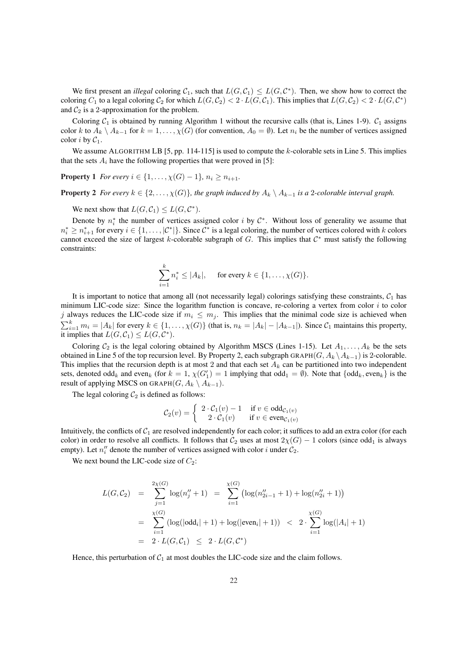We first present an *illegal* coloring  $C_1$ , such that  $L(G, C_1) \leq L(G, C^*)$ . Then, we show how to correct the coloring  $C_1$  to a legal coloring  $C_2$  for which  $L(G, C_2) < 2 \cdot L(G, C_1)$ . This implies that  $L(G, C_2) < 2 \cdot L(G, C^*)$ and  $C_2$  is a 2-approximation for the problem.

Coloring  $C_1$  is obtained by running Algorithm 1 without the recursive calls (that is, Lines 1-9).  $C_1$  assigns color k to  $A_k \setminus A_{k-1}$  for  $k = 1, ..., \chi(G)$  (for convention,  $A_0 = \emptyset$ ). Let  $n_i$  be the number of vertices assigned color *i* by  $C_1$ .

We assume ALGORITHM LB [5, pp. 114-115] is used to compute the k-colorable sets in Line 5. This implies that the sets  $A_i$  have the following properties that were proved in [5]:

**Property** 1 *For every*  $i \in \{1, ..., \chi(G) - 1\}$ ,  $n_i \geq n_{i+1}$ .

**Property 2** *For every*  $k \in \{2, \ldots, \chi(G)\}\$ , the graph induced by  $A_k \setminus A_{k-1}$  *is a* 2*-colorable interval graph.* 

We next show that  $L(G, C_1) \leq L(G, C^*)$ .

Denote by  $n_i^*$  the number of vertices assigned color i by  $\mathcal{C}^*$ . Without loss of generality we assume that  $n_i^* \geq n_{i+1}^*$  for every  $i \in \{1, ..., |\mathcal{C}^*|\}$ . Since  $\mathcal{C}^*$  is a legal coloring, the number of vertices colored with k colors cannot exceed the size of largest k-colorable subgraph of  $G$ . This implies that  $\mathcal{C}^*$  must satisfy the following constraints:

$$
\sum_{i=1}^k n_i^* \le |A_k|, \quad \text{ for every } k \in \{1, \ldots, \chi(G)\}.
$$

It is important to notice that among all (not necessarily legal) colorings satisfying these constraints,  $C_1$  has minimum LIC-code size: Since the logarithm function is concave, re-coloring a vertex from color  $i$  to color j always reduces the LIC-code size if  $m_i \n\t\leq m_j$ . This implies that the minimal code size is achieved when  $\sum_{i=1}^{k} m_i = |A_k|$  for every  $k \in \{1, ..., \chi(G)\}$  (that is,  $n_k = |A_k| - |A_{k-1}|$ ). Since  $C_1$  maintains this property, it implies that  $L(G, C_1) \leq L(G, C^*)$ .

Coloring  $C_2$  is the legal coloring obtained by Algorithm MSCS (Lines 1-15). Let  $A_1, \ldots, A_k$  be the sets obtained in Line 5 of the top recursion level. By Property 2, each subgraph GRAPH( $G, A_k \setminus A_{k-1}$ ) is 2-colorable. This implies that the recursion depth is at most 2 and that each set  $A_k$  can be partitioned into two independent sets, denoted odd<sub>k</sub> and even<sub>k</sub> (for  $k = 1$ ,  $\chi(G_1') = 1$  implying that odd<sub>1</sub> =  $\emptyset$ ). Note that  $\{\text{odd}_k, \text{even}_k\}$  is the result of applying MSCS on GRAPH $(G, A_k \setminus A_{k-1})$ .

The legal coloring  $C_2$  is defined as follows:

$$
\mathcal{C}_2(v) = \begin{cases} 2 \cdot \mathcal{C}_1(v) - 1 & \text{if } v \in \text{odd}_{\mathcal{C}_1(v)} \\ 2 \cdot \mathcal{C}_1(v) & \text{if } v \in \text{even}_{\mathcal{C}_1(v)} \end{cases}
$$

Intuitively, the conflicts of  $C_1$  are resolved independently for each color; it suffices to add an extra color (for each color) in order to resolve all conflicts. It follows that  $C_2$  uses at most  $2\chi(G) - 1$  colors (since odd<sub>1</sub> is always empty). Let  $n''_i$  denote the number of vertices assigned with color i under  $C_2$ .

We next bound the LIC-code size of  $C_2$ :

$$
L(G, C_2) = \sum_{j=1}^{2\chi(G)} \log(n''_j + 1) = \sum_{i=1}^{\chi(G)} \left( \log(n''_{2i-1} + 1) + \log(n''_{2i} + 1) \right)
$$
  
= 
$$
\sum_{i=1}^{\chi(G)} \left( \log(\left| \text{odd}_i \right| + 1) + \log(\left| \text{even}_i \right| + 1) \right) < 2 \cdot \sum_{i=1}^{\chi(G)} \log(\left| A_i \right| + 1)
$$
  
= 
$$
2 \cdot L(G, C_1) \le 2 \cdot L(G, C^*)
$$

Hence, this perturbation of  $C_1$  at most doubles the LIC-code size and the claim follows.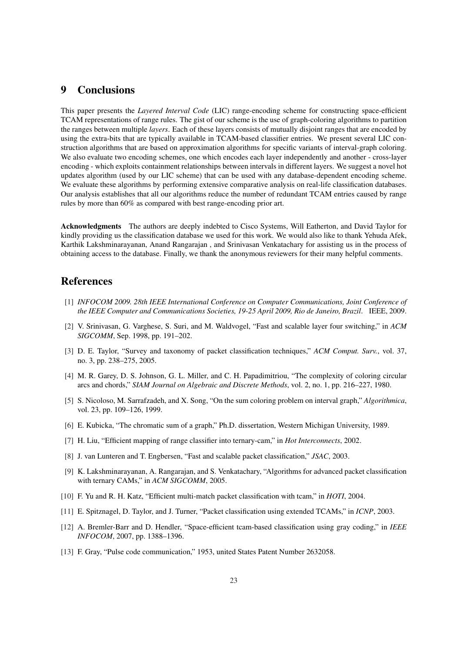## 9 Conclusions

This paper presents the *Layered Interval Code* (LIC) range-encoding scheme for constructing space-efficient TCAM representations of range rules. The gist of our scheme is the use of graph-coloring algorithms to partition the ranges between multiple *layers*. Each of these layers consists of mutually disjoint ranges that are encoded by using the extra-bits that are typically available in TCAM-based classifier entries. We present several LIC construction algorithms that are based on approximation algorithms for specific variants of interval-graph coloring. We also evaluate two encoding schemes, one which encodes each layer independently and another - cross-layer encoding - which exploits containment relationships between intervals in different layers. We suggest a novel hot updates algorithm (used by our LIC scheme) that can be used with any database-dependent encoding scheme. We evaluate these algorithms by performing extensive comparative analysis on real-life classification databases. Our analysis establishes that all our algorithms reduce the number of redundant TCAM entries caused by range rules by more than 60% as compared with best range-encoding prior art.

Acknowledgments The authors are deeply indebted to Cisco Systems, Will Eatherton, and David Taylor for kindly providing us the classification database we used for this work. We would also like to thank Yehuda Afek, Karthik Lakshminarayanan, Anand Rangarajan , and Srinivasan Venkatachary for assisting us in the process of obtaining access to the database. Finally, we thank the anonymous reviewers for their many helpful comments.

## References

- [1] *INFOCOM 2009. 28th IEEE International Conference on Computer Communications, Joint Conference of the IEEE Computer and Communications Societies, 19-25 April 2009, Rio de Janeiro, Brazil*. IEEE, 2009.
- [2] V. Srinivasan, G. Varghese, S. Suri, and M. Waldvogel, "Fast and scalable layer four switching," in *ACM SIGCOMM*, Sep. 1998, pp. 191–202.
- [3] D. E. Taylor, "Survey and taxonomy of packet classification techniques," *ACM Comput. Surv.*, vol. 37, no. 3, pp. 238–275, 2005.
- [4] M. R. Garey, D. S. Johnson, G. L. Miller, and C. H. Papadimitriou, "The complexity of coloring circular arcs and chords," *SIAM Journal on Algebraic and Discrete Methods*, vol. 2, no. 1, pp. 216–227, 1980.
- [5] S. Nicoloso, M. Sarrafzadeh, and X. Song, "On the sum coloring problem on interval graph," *Algorithmica*, vol. 23, pp. 109–126, 1999.
- [6] E. Kubicka, "The chromatic sum of a graph," Ph.D. dissertation, Western Michigan University, 1989.
- [7] H. Liu, "Efficient mapping of range classifier into ternary-cam," in *Hot Interconnects*, 2002.
- [8] J. van Lunteren and T. Engbersen, "Fast and scalable packet classification," *JSAC*, 2003.
- [9] K. Lakshminarayanan, A. Rangarajan, and S. Venkatachary, "Algorithms for advanced packet classification with ternary CAMs," in *ACM SIGCOMM*, 2005.
- [10] F. Yu and R. H. Katz, "Efficient multi-match packet classification with tcam," in *HOTI*, 2004.
- [11] E. Spitznagel, D. Taylor, and J. Turner, "Packet classification using extended TCAMs," in *ICNP*, 2003.
- [12] A. Bremler-Barr and D. Hendler, "Space-efficient tcam-based classification using gray coding," in *IEEE INFOCOM*, 2007, pp. 1388–1396.
- [13] F. Gray, "Pulse code communication," 1953, united States Patent Number 2632058.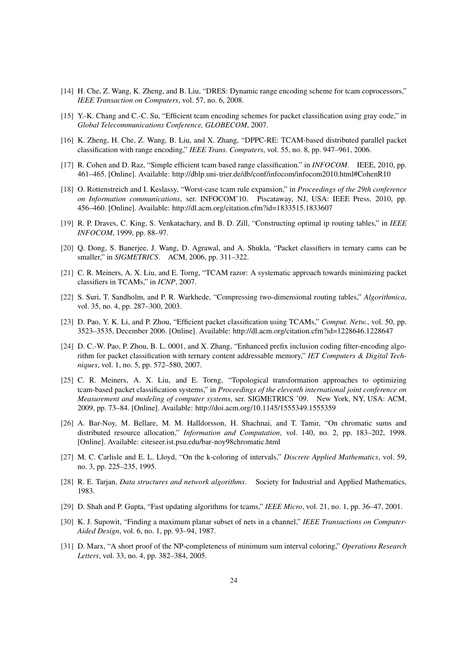- [14] H. Che, Z. Wang, K. Zheng, and B. Liu, "DRES: Dynamic range encoding scheme for tcam coprocessors," *IEEE Transaction on Computers*, vol. 57, no. 6, 2008.
- [15] Y.-K. Chang and C.-C. Su, "Efficient tcam encoding schemes for packet classification using gray code," in *Global Telecommunications Conference, GLOBECOM*, 2007.
- [16] K. Zheng, H. Che, Z. Wang, B. Liu, and X. Zhang, "DPPC-RE: TCAM-based distributed parallel packet classification with range encoding," *IEEE Trans. Computers*, vol. 55, no. 8, pp. 947–961, 2006.
- [17] R. Cohen and D. Raz, "Simple efficient tcam based range classification." in *INFOCOM*. IEEE, 2010, pp. 461–465. [Online]. Available: http://dblp.uni-trier.de/db/conf/infocom/infocom2010.html#CohenR10
- [18] O. Rottenstreich and I. Keslassy, "Worst-case tcam rule expansion," in *Proceedings of the 29th conference on Information communications*, ser. INFOCOM'10. Piscataway, NJ, USA: IEEE Press, 2010, pp. 456–460. [Online]. Available: http://dl.acm.org/citation.cfm?id=1833515.1833607
- [19] R. P. Draves, C. King, S. Venkatachary, and B. D. Zill, "Constructing optimal ip routing tables," in *IEEE INFOCOM*, 1999, pp. 88–97.
- [20] Q. Dong, S. Banerjee, J. Wang, D. Agrawal, and A. Shukla, "Packet classifiers in ternary cams can be smaller," in *SIGMETRICS*. ACM, 2006, pp. 311–322.
- [21] C. R. Meiners, A. X. Liu, and E. Torng, "TCAM razor: A systematic approach towards minimizing packet classifiers in TCAMs," in *ICNP*, 2007.
- [22] S. Suri, T. Sandholm, and P. R. Warkhede, "Compressing two-dimensional routing tables," *Algorithmica*, vol. 35, no. 4, pp. 287–300, 2003.
- [23] D. Pao, Y. K. Li, and P. Zhou, "Efficient packet classification using TCAMs," *Comput. Netw.*, vol. 50, pp. 3523–3535, December 2006. [Online]. Available: http://dl.acm.org/citation.cfm?id=1228646.1228647
- [24] D. C.-W. Pao, P. Zhou, B. L. 0001, and X. Zhang, "Enhanced prefix inclusion coding filter-encoding algorithm for packet classification with ternary content addressable memory," *IET Computers & Digital Techniques*, vol. 1, no. 5, pp. 572–580, 2007.
- [25] C. R. Meiners, A. X. Liu, and E. Torng, "Topological transformation approaches to optimizing tcam-based packet classification systems," in *Proceedings of the eleventh international joint conference on Measurement and modeling of computer systems*, ser. SIGMETRICS '09. New York, NY, USA: ACM, 2009, pp. 73–84. [Online]. Available: http://doi.acm.org/10.1145/1555349.1555359
- [26] A. Bar-Noy, M. Bellare, M. M. Halldorsson, H. Shachnai, and T. Tamir, "On chromatic sums and distributed resource allocation," *Information and Computation*, vol. 140, no. 2, pp. 183–202, 1998. [Online]. Available: citeseer.ist.psu.edu/bar-noy98chromatic.html
- [27] M. C. Carlisle and E. L. Lloyd, "On the k-coloring of intervals," *Discrete Applied Mathematics*, vol. 59, no. 3, pp. 225–235, 1995.
- [28] R. E. Tarjan, *Data structures and network algorithms*. Society for Industrial and Applied Mathematics, 1983.
- [29] D. Shah and P. Gupta, "Fast updating algorithms for tcams," *IEEE Micro*, vol. 21, no. 1, pp. 36–47, 2001.
- [30] K. J. Supowit, "Finding a maximum planar subset of nets in a channel," *IEEE Transactions on Computer-Aided Design*, vol. 6, no. 1, pp. 93–94, 1987.
- [31] D. Marx, "A short proof of the NP-completeness of minimum sum interval coloring," *Operations Research Letters*, vol. 33, no. 4, pp. 382–384, 2005.